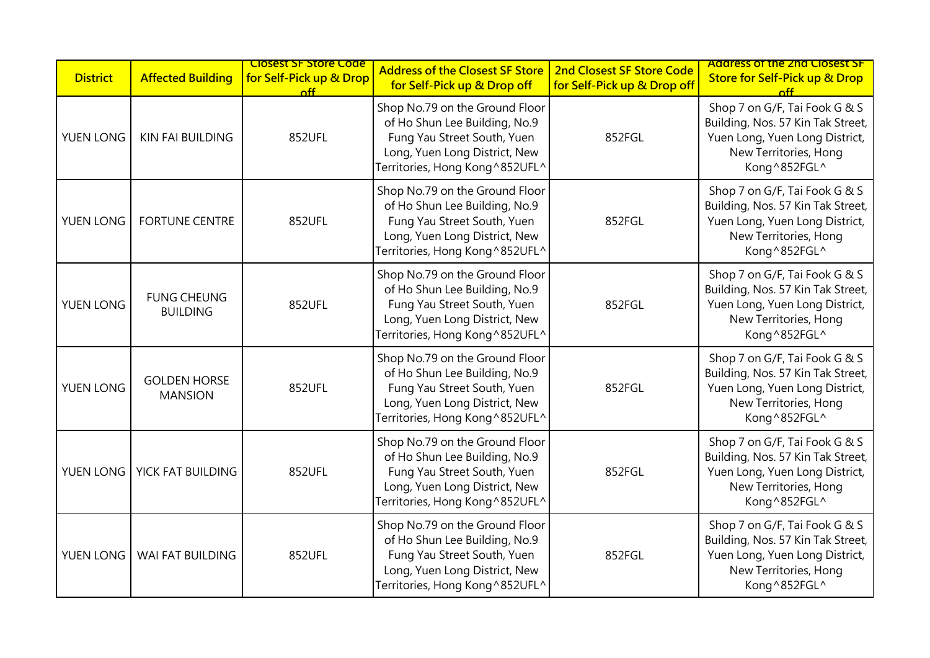| <b>District</b> | <b>Affected Building</b>              | <b>Closest SF Store Code</b><br>for Self-Pick up & Drop<br>nff | <b>Address of the Closest SF Store</b><br>for Self-Pick up & Drop off                                                                                             | 2nd Closest SF Store Code<br>for Self-Pick up & Drop off | <b>Address of the 2nd Closest SF</b><br><b>Store for Self-Pick up &amp; Drop</b><br>$\int_{0}^{2}$                                            |
|-----------------|---------------------------------------|----------------------------------------------------------------|-------------------------------------------------------------------------------------------------------------------------------------------------------------------|----------------------------------------------------------|-----------------------------------------------------------------------------------------------------------------------------------------------|
| YUEN LONG       | <b>KIN FAI BUILDING</b>               | 852UFL                                                         | Shop No.79 on the Ground Floor<br>of Ho Shun Lee Building, No.9<br>Fung Yau Street South, Yuen<br>Long, Yuen Long District, New<br>Territories, Hong Kong^852UFL^ | 852FGL                                                   | Shop 7 on G/F, Tai Fook G & S<br>Building, Nos. 57 Kin Tak Street,<br>Yuen Long, Yuen Long District,<br>New Territories, Hong<br>Kong^852FGL^ |
| YUEN LONG       | <b>FORTUNE CENTRE</b>                 | 852UFL                                                         | Shop No.79 on the Ground Floor<br>of Ho Shun Lee Building, No.9<br>Fung Yau Street South, Yuen<br>Long, Yuen Long District, New<br>Territories, Hong Kong^852UFL^ | 852FGL                                                   | Shop 7 on G/F, Tai Fook G & S<br>Building, Nos. 57 Kin Tak Street,<br>Yuen Long, Yuen Long District,<br>New Territories, Hong<br>Kong^852FGL^ |
| YUEN LONG       | <b>FUNG CHEUNG</b><br><b>BUILDING</b> | 852UFL                                                         | Shop No.79 on the Ground Floor<br>of Ho Shun Lee Building, No.9<br>Fung Yau Street South, Yuen<br>Long, Yuen Long District, New<br>Territories, Hong Kong^852UFL^ | 852FGL                                                   | Shop 7 on G/F, Tai Fook G & S<br>Building, Nos. 57 Kin Tak Street,<br>Yuen Long, Yuen Long District,<br>New Territories, Hong<br>Kong^852FGL^ |
| YUEN LONG       | <b>GOLDEN HORSE</b><br><b>MANSION</b> | 852UFL                                                         | Shop No.79 on the Ground Floor<br>of Ho Shun Lee Building, No.9<br>Fung Yau Street South, Yuen<br>Long, Yuen Long District, New<br>Territories, Hong Kong^852UFL^ | 852FGL                                                   | Shop 7 on G/F, Tai Fook G & S<br>Building, Nos. 57 Kin Tak Street,<br>Yuen Long, Yuen Long District,<br>New Territories, Hong<br>Kong^852FGL^ |
| YUEN LONG       | YICK FAT BUILDING                     | 852UFL                                                         | Shop No.79 on the Ground Floor<br>of Ho Shun Lee Building, No.9<br>Fung Yau Street South, Yuen<br>Long, Yuen Long District, New<br>Territories, Hong Kong^852UFL^ | 852FGL                                                   | Shop 7 on G/F, Tai Fook G & S<br>Building, Nos. 57 Kin Tak Street,<br>Yuen Long, Yuen Long District,<br>New Territories, Hong<br>Kong^852FGL^ |
| YUEN LONG       | WAI FAT BUILDING                      | 852UFL                                                         | Shop No.79 on the Ground Floor<br>of Ho Shun Lee Building, No.9<br>Fung Yau Street South, Yuen<br>Long, Yuen Long District, New<br>Territories, Hong Kong^852UFL^ | 852FGL                                                   | Shop 7 on G/F, Tai Fook G & S<br>Building, Nos. 57 Kin Tak Street,<br>Yuen Long, Yuen Long District,<br>New Territories, Hong<br>Kong^852FGL^ |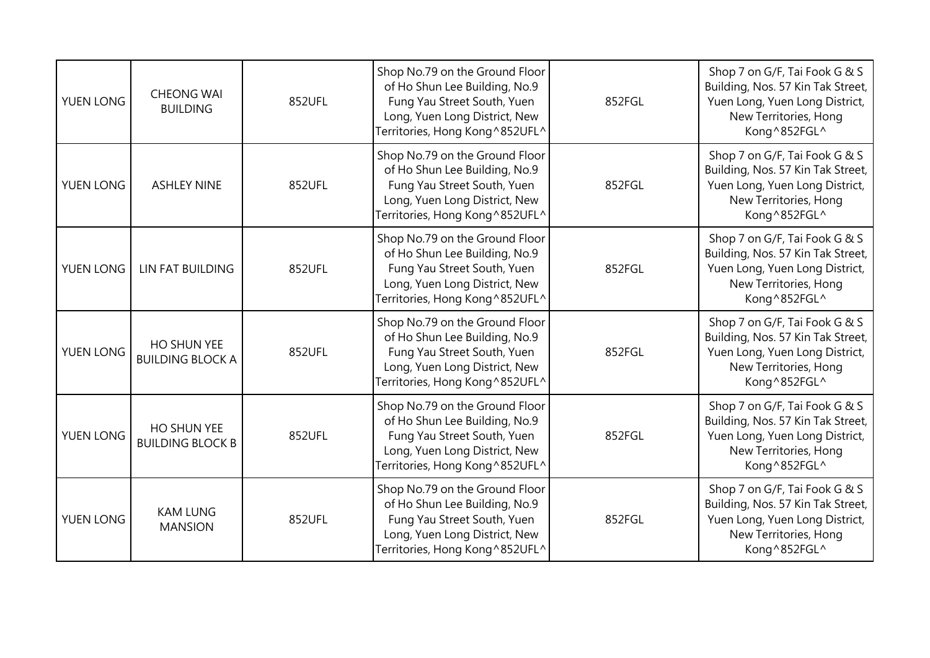| YUEN LONG | <b>CHEONG WAI</b><br><b>BUILDING</b>   | 852UFL | Shop No.79 on the Ground Floor<br>of Ho Shun Lee Building, No.9<br>Fung Yau Street South, Yuen<br>Long, Yuen Long District, New<br>Territories, Hong Kong ^852UFL^ | 852FGL | Shop 7 on G/F, Tai Fook G & S<br>Building, Nos. 57 Kin Tak Street,<br>Yuen Long, Yuen Long District,<br>New Territories, Hong<br>Kong ^852FGL^ |
|-----------|----------------------------------------|--------|--------------------------------------------------------------------------------------------------------------------------------------------------------------------|--------|------------------------------------------------------------------------------------------------------------------------------------------------|
| YUEN LONG | <b>ASHLEY NINE</b>                     | 852UFL | Shop No.79 on the Ground Floor<br>of Ho Shun Lee Building, No.9<br>Fung Yau Street South, Yuen<br>Long, Yuen Long District, New<br>Territories, Hong Kong^852UFL^  | 852FGL | Shop 7 on G/F, Tai Fook G & S<br>Building, Nos. 57 Kin Tak Street,<br>Yuen Long, Yuen Long District,<br>New Territories, Hong<br>Kong ^852FGL^ |
| YUEN LONG | LIN FAT BUILDING                       | 852UFL | Shop No.79 on the Ground Floor<br>of Ho Shun Lee Building, No.9<br>Fung Yau Street South, Yuen<br>Long, Yuen Long District, New<br>Territories, Hong Kong ^852UFL^ | 852FGL | Shop 7 on G/F, Tai Fook G & S<br>Building, Nos. 57 Kin Tak Street,<br>Yuen Long, Yuen Long District,<br>New Territories, Hong<br>Kong^852FGL^  |
| YUEN LONG | HO SHUN YEE<br><b>BUILDING BLOCK A</b> | 852UFL | Shop No.79 on the Ground Floor<br>of Ho Shun Lee Building, No.9<br>Fung Yau Street South, Yuen<br>Long, Yuen Long District, New<br>Territories, Hong Kong ^852UFL^ | 852FGL | Shop 7 on G/F, Tai Fook G & S<br>Building, Nos. 57 Kin Tak Street,<br>Yuen Long, Yuen Long District,<br>New Territories, Hong<br>Kong ^852FGL^ |
| YUEN LONG | HO SHUN YEE<br><b>BUILDING BLOCK B</b> | 852UFL | Shop No.79 on the Ground Floor<br>of Ho Shun Lee Building, No.9<br>Fung Yau Street South, Yuen<br>Long, Yuen Long District, New<br>Territories, Hong Kong ^852UFL^ | 852FGL | Shop 7 on G/F, Tai Fook G & S<br>Building, Nos. 57 Kin Tak Street,<br>Yuen Long, Yuen Long District,<br>New Territories, Hong<br>Kong ^852FGL^ |
| YUEN LONG | <b>KAM LUNG</b><br><b>MANSION</b>      | 852UFL | Shop No.79 on the Ground Floor<br>of Ho Shun Lee Building, No.9<br>Fung Yau Street South, Yuen<br>Long, Yuen Long District, New<br>Territories, Hong Kong^852UFL^  | 852FGL | Shop 7 on G/F, Tai Fook G & S<br>Building, Nos. 57 Kin Tak Street,<br>Yuen Long, Yuen Long District,<br>New Territories, Hong<br>Kong^852FGL^  |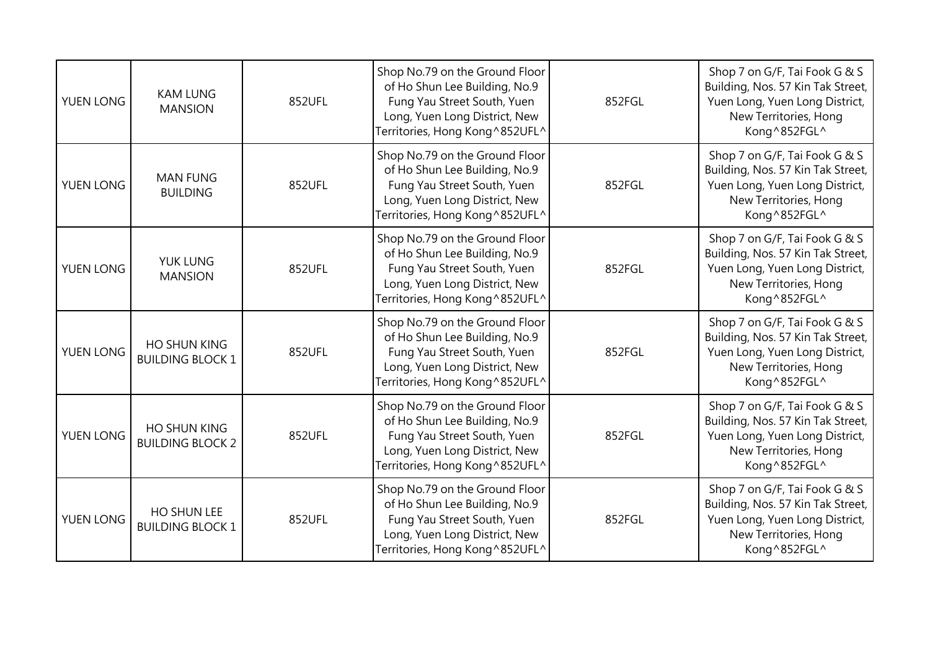| YUEN LONG | <b>KAM LUNG</b><br><b>MANSION</b>              | 852UFL | Shop No.79 on the Ground Floor<br>of Ho Shun Lee Building, No.9<br>Fung Yau Street South, Yuen<br>Long, Yuen Long District, New<br>Territories, Hong Kong ^852UFL^ | 852FGL | Shop 7 on G/F, Tai Fook G & S<br>Building, Nos. 57 Kin Tak Street,<br>Yuen Long, Yuen Long District,<br>New Territories, Hong<br>Kong ^852FGL^ |
|-----------|------------------------------------------------|--------|--------------------------------------------------------------------------------------------------------------------------------------------------------------------|--------|------------------------------------------------------------------------------------------------------------------------------------------------|
| YUEN LONG | <b>MAN FUNG</b><br><b>BUILDING</b>             | 852UFL | Shop No.79 on the Ground Floor<br>of Ho Shun Lee Building, No.9<br>Fung Yau Street South, Yuen<br>Long, Yuen Long District, New<br>Territories, Hong Kong^852UFL^  | 852FGL | Shop 7 on G/F, Tai Fook G & S<br>Building, Nos. 57 Kin Tak Street,<br>Yuen Long, Yuen Long District,<br>New Territories, Hong<br>Kong ^852FGL^ |
| YUEN LONG | <b>YUK LUNG</b><br><b>MANSION</b>              | 852UFL | Shop No.79 on the Ground Floor<br>of Ho Shun Lee Building, No.9<br>Fung Yau Street South, Yuen<br>Long, Yuen Long District, New<br>Territories, Hong Kong ^852UFL^ | 852FGL | Shop 7 on G/F, Tai Fook G & S<br>Building, Nos. 57 Kin Tak Street,<br>Yuen Long, Yuen Long District,<br>New Territories, Hong<br>Kong^852FGL^  |
| YUEN LONG | <b>HO SHUN KING</b><br><b>BUILDING BLOCK 1</b> | 852UFL | Shop No.79 on the Ground Floor<br>of Ho Shun Lee Building, No.9<br>Fung Yau Street South, Yuen<br>Long, Yuen Long District, New<br>Territories, Hong Kong ^852UFL^ | 852FGL | Shop 7 on G/F, Tai Fook G & S<br>Building, Nos. 57 Kin Tak Street,<br>Yuen Long, Yuen Long District,<br>New Territories, Hong<br>Kong ^852FGL^ |
| YUEN LONG | HO SHUN KING<br><b>BUILDING BLOCK 2</b>        | 852UFL | Shop No.79 on the Ground Floor<br>of Ho Shun Lee Building, No.9<br>Fung Yau Street South, Yuen<br>Long, Yuen Long District, New<br>Territories, Hong Kong ^852UFL^ | 852FGL | Shop 7 on G/F, Tai Fook G & S<br>Building, Nos. 57 Kin Tak Street,<br>Yuen Long, Yuen Long District,<br>New Territories, Hong<br>Kong ^852FGL^ |
| YUEN LONG | HO SHUN LEE<br><b>BUILDING BLOCK 1</b>         | 852UFL | Shop No.79 on the Ground Floor<br>of Ho Shun Lee Building, No.9<br>Fung Yau Street South, Yuen<br>Long, Yuen Long District, New<br>Territories, Hong Kong^852UFL^  | 852FGL | Shop 7 on G/F, Tai Fook G & S<br>Building, Nos. 57 Kin Tak Street,<br>Yuen Long, Yuen Long District,<br>New Territories, Hong<br>Kong^852FGL^  |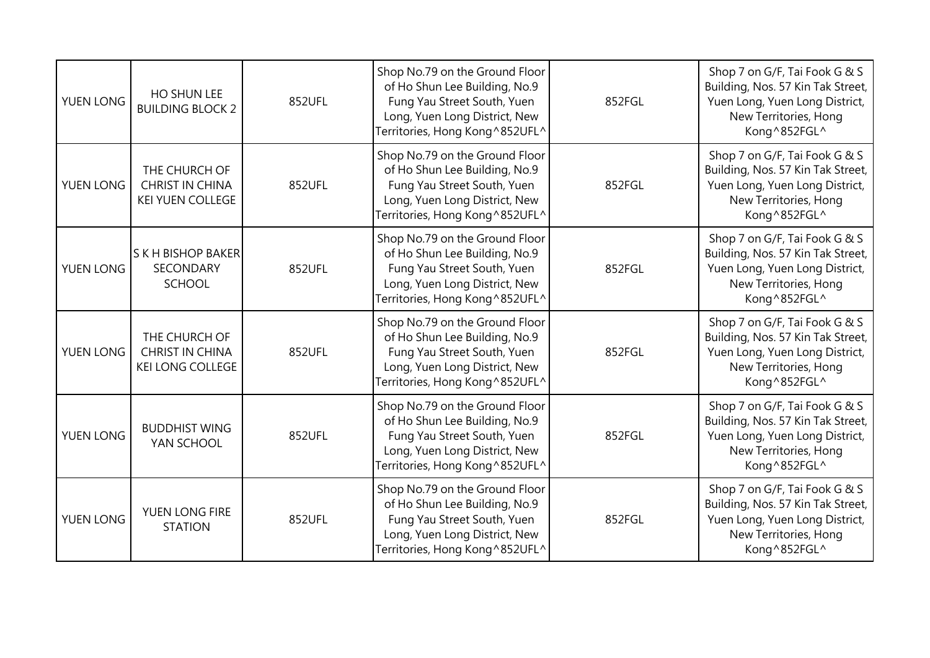| YUEN LONG | HO SHUN LEE<br><b>BUILDING BLOCK 2</b>                             | 852UFL | Shop No.79 on the Ground Floor<br>of Ho Shun Lee Building, No.9<br>Fung Yau Street South, Yuen<br>Long, Yuen Long District, New<br>Territories, Hong Kong ^852UFL^ | 852FGL | Shop 7 on G/F, Tai Fook G & S<br>Building, Nos. 57 Kin Tak Street,<br>Yuen Long, Yuen Long District,<br>New Territories, Hong<br>Kong ^852FGL^ |
|-----------|--------------------------------------------------------------------|--------|--------------------------------------------------------------------------------------------------------------------------------------------------------------------|--------|------------------------------------------------------------------------------------------------------------------------------------------------|
| YUEN LONG | THE CHURCH OF<br>CHRIST IN CHINA<br><b>KEI YUEN COLLEGE</b>        | 852UFL | Shop No.79 on the Ground Floor<br>of Ho Shun Lee Building, No.9<br>Fung Yau Street South, Yuen<br>Long, Yuen Long District, New<br>Territories, Hong Kong^852UFL^  | 852FGL | Shop 7 on G/F, Tai Fook G & S<br>Building, Nos. 57 Kin Tak Street,<br>Yuen Long, Yuen Long District,<br>New Territories, Hong<br>Kong ^852FGL^ |
| YUEN LONG | <b>SKH BISHOP BAKER</b><br>SECONDARY<br><b>SCHOOL</b>              | 852UFL | Shop No.79 on the Ground Floor<br>of Ho Shun Lee Building, No.9<br>Fung Yau Street South, Yuen<br>Long, Yuen Long District, New<br>Territories, Hong Kong ^852UFL^ | 852FGL | Shop 7 on G/F, Tai Fook G & S<br>Building, Nos. 57 Kin Tak Street,<br>Yuen Long, Yuen Long District,<br>New Territories, Hong<br>Kong^852FGL^  |
| YUEN LONG | THE CHURCH OF<br><b>CHRIST IN CHINA</b><br><b>KEI LONG COLLEGE</b> | 852UFL | Shop No.79 on the Ground Floor<br>of Ho Shun Lee Building, No.9<br>Fung Yau Street South, Yuen<br>Long, Yuen Long District, New<br>Territories, Hong Kong ^852UFL^ | 852FGL | Shop 7 on G/F, Tai Fook G & S<br>Building, Nos. 57 Kin Tak Street,<br>Yuen Long, Yuen Long District,<br>New Territories, Hong<br>Kong ^852FGL^ |
| YUEN LONG | <b>BUDDHIST WING</b><br>YAN SCHOOL                                 | 852UFL | Shop No.79 on the Ground Floor<br>of Ho Shun Lee Building, No.9<br>Fung Yau Street South, Yuen<br>Long, Yuen Long District, New<br>Territories, Hong Kong ^852UFL^ | 852FGL | Shop 7 on G/F, Tai Fook G & S<br>Building, Nos. 57 Kin Tak Street,<br>Yuen Long, Yuen Long District,<br>New Territories, Hong<br>Kong ^852FGL^ |
| YUEN LONG | YUEN LONG FIRE<br><b>STATION</b>                                   | 852UFL | Shop No.79 on the Ground Floor<br>of Ho Shun Lee Building, No.9<br>Fung Yau Street South, Yuen<br>Long, Yuen Long District, New<br>Territories, Hong Kong^852UFL^  | 852FGL | Shop 7 on G/F, Tai Fook G & S<br>Building, Nos. 57 Kin Tak Street,<br>Yuen Long, Yuen Long District,<br>New Territories, Hong<br>Kong^852FGL^  |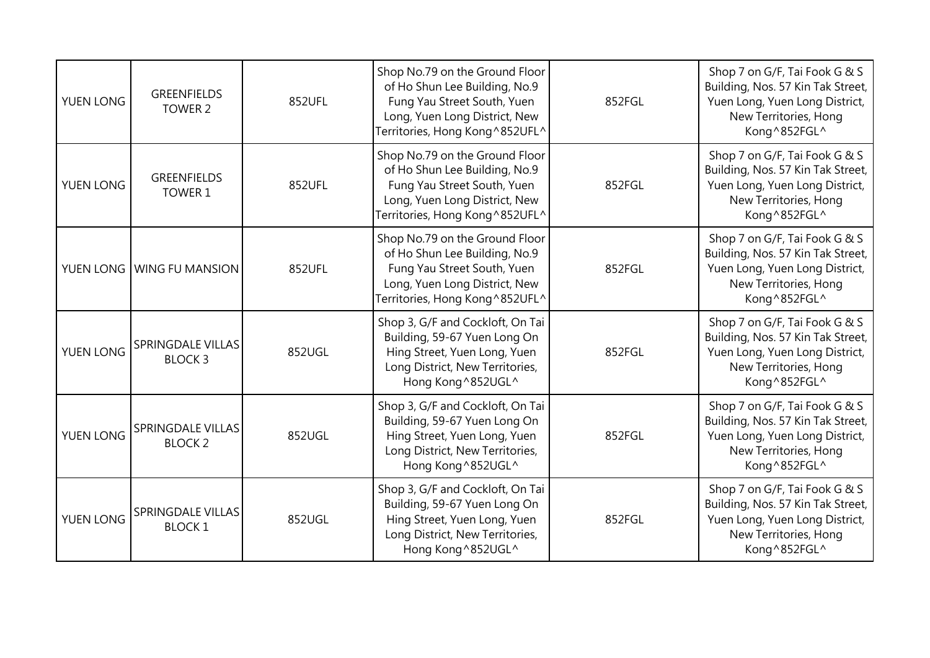| <b>YUEN LONG</b> | <b>GREENFIELDS</b><br>TOWER 2             | 852UFL | Shop No.79 on the Ground Floor<br>of Ho Shun Lee Building, No.9<br>Fung Yau Street South, Yuen<br>Long, Yuen Long District, New<br>Territories, Hong Kong ^852UFL^ | 852FGL | Shop 7 on G/F, Tai Fook G & S<br>Building, Nos. 57 Kin Tak Street,<br>Yuen Long, Yuen Long District,<br>New Territories, Hong<br>Kong^852FGL^  |
|------------------|-------------------------------------------|--------|--------------------------------------------------------------------------------------------------------------------------------------------------------------------|--------|------------------------------------------------------------------------------------------------------------------------------------------------|
| YUEN LONG        | <b>GREENFIELDS</b><br>TOWER 1             | 852UFL | Shop No.79 on the Ground Floor<br>of Ho Shun Lee Building, No.9<br>Fung Yau Street South, Yuen<br>Long, Yuen Long District, New<br>Territories, Hong Kong ^852UFL^ | 852FGL | Shop 7 on G/F, Tai Fook G & S<br>Building, Nos. 57 Kin Tak Street,<br>Yuen Long, Yuen Long District,<br>New Territories, Hong<br>Kong^852FGL^  |
|                  | YUEN LONG WING FU MANSION                 | 852UFL | Shop No.79 on the Ground Floor<br>of Ho Shun Lee Building, No.9<br>Fung Yau Street South, Yuen<br>Long, Yuen Long District, New<br>Territories, Hong Kong ^852UFL^ | 852FGL | Shop 7 on G/F, Tai Fook G & S<br>Building, Nos. 57 Kin Tak Street,<br>Yuen Long, Yuen Long District,<br>New Territories, Hong<br>Kong^852FGL^  |
| YUEN LONG        | SPRINGDALE VILLAS<br><b>BLOCK3</b>        | 852UGL | Shop 3, G/F and Cockloft, On Tai<br>Building, 59-67 Yuen Long On<br>Hing Street, Yuen Long, Yuen<br>Long District, New Territories,<br>Hong Kong ^852UGL^          | 852FGL | Shop 7 on G/F, Tai Fook G & S<br>Building, Nos. 57 Kin Tak Street,<br>Yuen Long, Yuen Long District,<br>New Territories, Hong<br>Kong^852FGL^  |
| YUEN LONG        | SPRINGDALE VILLAS<br><b>BLOCK 2</b>       | 852UGL | Shop 3, G/F and Cockloft, On Tai<br>Building, 59-67 Yuen Long On<br>Hing Street, Yuen Long, Yuen<br>Long District, New Territories,<br>Hong Kong ^852UGL^          | 852FGL | Shop 7 on G/F, Tai Fook G & S<br>Building, Nos. 57 Kin Tak Street,<br>Yuen Long, Yuen Long District,<br>New Territories, Hong<br>Kong ^852FGL^ |
| YUEN LONG        | <b>SPRINGDALE VILLAS</b><br><b>BLOCK1</b> | 852UGL | Shop 3, G/F and Cockloft, On Tai<br>Building, 59-67 Yuen Long On<br>Hing Street, Yuen Long, Yuen<br>Long District, New Territories,<br>Hong Kong^852UGL^           | 852FGL | Shop 7 on G/F, Tai Fook G & S<br>Building, Nos. 57 Kin Tak Street,<br>Yuen Long, Yuen Long District,<br>New Territories, Hong<br>Kong^852FGL^  |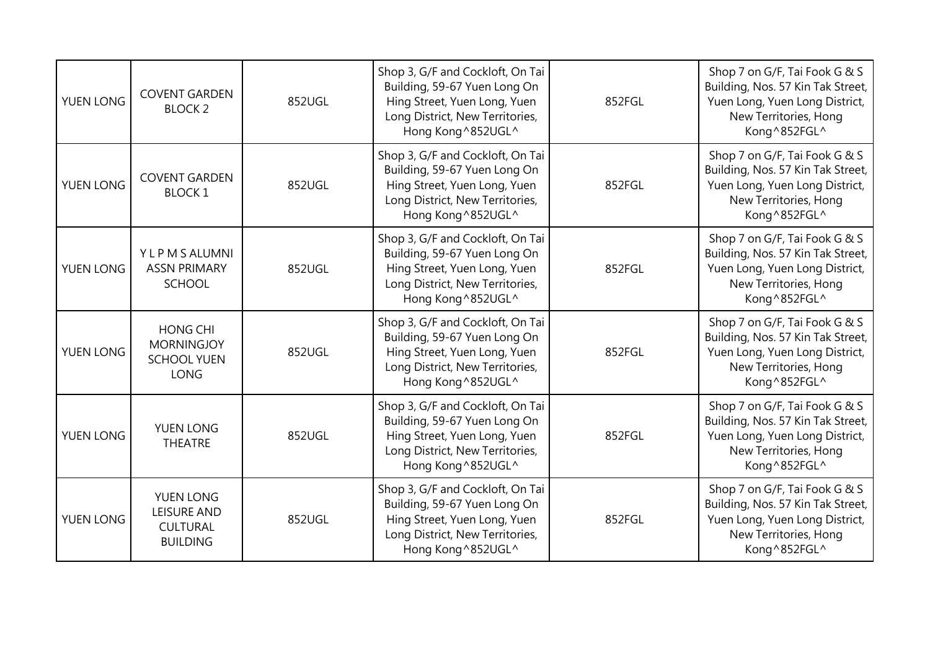| <b>YUEN LONG</b> | <b>COVENT GARDEN</b><br><b>BLOCK 2</b>                                    | 852UGL | Shop 3, G/F and Cockloft, On Tai<br>Building, 59-67 Yuen Long On<br>Hing Street, Yuen Long, Yuen<br>Long District, New Territories,<br>Hong Kong^852UGL^  | 852FGL | Shop 7 on G/F, Tai Fook G & S<br>Building, Nos. 57 Kin Tak Street,<br>Yuen Long, Yuen Long District,<br>New Territories, Hong<br>Kong^852FGL^  |
|------------------|---------------------------------------------------------------------------|--------|-----------------------------------------------------------------------------------------------------------------------------------------------------------|--------|------------------------------------------------------------------------------------------------------------------------------------------------|
| YUEN LONG        | <b>COVENT GARDEN</b><br><b>BLOCK1</b>                                     | 852UGL | Shop 3, G/F and Cockloft, On Tai<br>Building, 59-67 Yuen Long On<br>Hing Street, Yuen Long, Yuen<br>Long District, New Territories,<br>Hong Kong^852UGL^  | 852FGL | Shop 7 on G/F, Tai Fook G & S<br>Building, Nos. 57 Kin Tak Street,<br>Yuen Long, Yuen Long District,<br>New Territories, Hong<br>Kong^852FGL^  |
| YUEN LONG        | Y L P M S ALUMNI<br><b>ASSN PRIMARY</b><br><b>SCHOOL</b>                  | 852UGL | Shop 3, G/F and Cockloft, On Tai<br>Building, 59-67 Yuen Long On<br>Hing Street, Yuen Long, Yuen<br>Long District, New Territories,<br>Hong Kong^852UGL^  | 852FGL | Shop 7 on G/F, Tai Fook G & S<br>Building, Nos. 57 Kin Tak Street,<br>Yuen Long, Yuen Long District,<br>New Territories, Hong<br>Kong^852FGL^  |
| YUEN LONG        | <b>HONG CHI</b><br><b>MORNINGJOY</b><br><b>SCHOOL YUEN</b><br><b>LONG</b> | 852UGL | Shop 3, G/F and Cockloft, On Tai<br>Building, 59-67 Yuen Long On<br>Hing Street, Yuen Long, Yuen<br>Long District, New Territories,<br>Hong Kong ^852UGL^ | 852FGL | Shop 7 on G/F, Tai Fook G & S<br>Building, Nos. 57 Kin Tak Street,<br>Yuen Long, Yuen Long District,<br>New Territories, Hong<br>Kong^852FGL^  |
| YUEN LONG        | YUEN LONG<br><b>THEATRE</b>                                               | 852UGL | Shop 3, G/F and Cockloft, On Tai<br>Building, 59-67 Yuen Long On<br>Hing Street, Yuen Long, Yuen<br>Long District, New Territories,<br>Hong Kong ^852UGL^ | 852FGL | Shop 7 on G/F, Tai Fook G & S<br>Building, Nos. 57 Kin Tak Street,<br>Yuen Long, Yuen Long District,<br>New Territories, Hong<br>Kong ^852FGL^ |
| YUEN LONG        | YUEN LONG<br><b>LEISURE AND</b><br><b>CULTURAL</b><br><b>BUILDING</b>     | 852UGL | Shop 3, G/F and Cockloft, On Tai<br>Building, 59-67 Yuen Long On<br>Hing Street, Yuen Long, Yuen<br>Long District, New Territories,<br>Hong Kong ^852UGL^ | 852FGL | Shop 7 on G/F, Tai Fook G & S<br>Building, Nos. 57 Kin Tak Street,<br>Yuen Long, Yuen Long District,<br>New Territories, Hong<br>Kong^852FGL^  |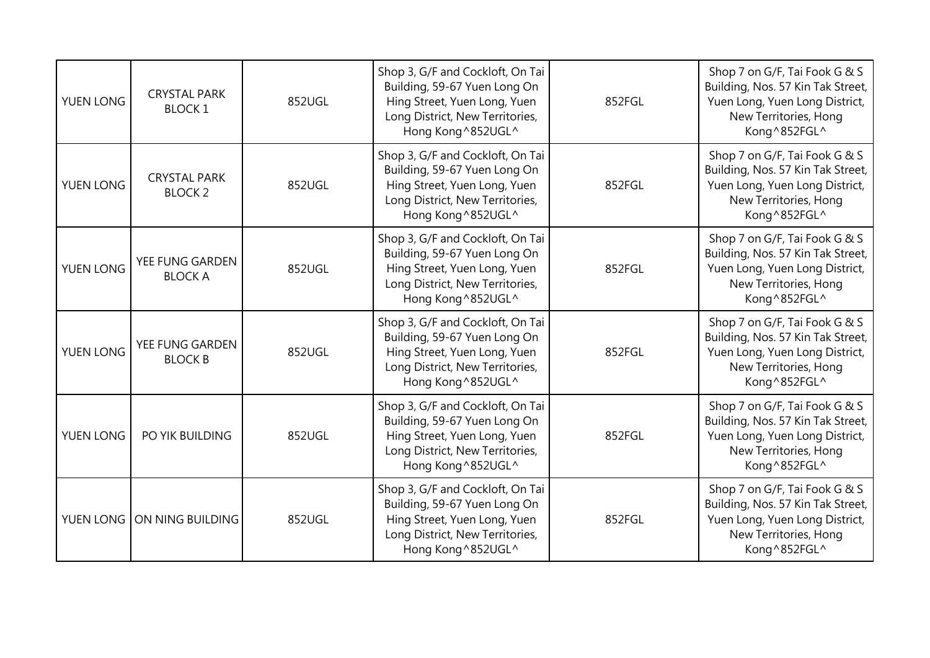| YUEN LONG | <b>CRYSTAL PARK</b><br><b>BLOCK 1</b> | 852UGL | Shop 3, G/F and Cockloft, On Tai<br>Building, 59-67 Yuen Long On<br>Hing Street, Yuen Long, Yuen<br>Long District, New Territories,<br>Hong Kong^852UGL^ | 852FGL | Shop 7 on G/F, Tai Fook G & S<br>Building, Nos. 57 Kin Tak Street,<br>Yuen Long, Yuen Long District,<br>New Territories, Hong<br>Kong ^852FGL^ |
|-----------|---------------------------------------|--------|----------------------------------------------------------------------------------------------------------------------------------------------------------|--------|------------------------------------------------------------------------------------------------------------------------------------------------|
| YUEN LONG | <b>CRYSTAL PARK</b><br><b>BLOCK 2</b> | 852UGL | Shop 3, G/F and Cockloft, On Tai<br>Building, 59-67 Yuen Long On<br>Hing Street, Yuen Long, Yuen<br>Long District, New Territories,<br>Hong Kong^852UGL^ | 852FGL | Shop 7 on G/F, Tai Fook G & S<br>Building, Nos. 57 Kin Tak Street,<br>Yuen Long, Yuen Long District,<br>New Territories, Hong<br>Kong ^852FGL^ |
| YUEN LONG | YEE FUNG GARDEN<br><b>BLOCK A</b>     | 852UGL | Shop 3, G/F and Cockloft, On Tai<br>Building, 59-67 Yuen Long On<br>Hing Street, Yuen Long, Yuen<br>Long District, New Territories,<br>Hong Kong^852UGL^ | 852FGL | Shop 7 on G/F, Tai Fook G & S<br>Building, Nos. 57 Kin Tak Street,<br>Yuen Long, Yuen Long District,<br>New Territories, Hong<br>Kong^852FGL^  |
| YUEN LONG | YEE FUNG GARDEN<br><b>BLOCK B</b>     | 852UGL | Shop 3, G/F and Cockloft, On Tai<br>Building, 59-67 Yuen Long On<br>Hing Street, Yuen Long, Yuen<br>Long District, New Territories,<br>Hong Kong^852UGL^ | 852FGL | Shop 7 on G/F, Tai Fook G & S<br>Building, Nos. 57 Kin Tak Street,<br>Yuen Long, Yuen Long District,<br>New Territories, Hong<br>Kong^852FGL^  |
| YUEN LONG | PO YIK BUILDING                       | 852UGL | Shop 3, G/F and Cockloft, On Tai<br>Building, 59-67 Yuen Long On<br>Hing Street, Yuen Long, Yuen<br>Long District, New Territories,<br>Hong Kong^852UGL^ | 852FGL | Shop 7 on G/F, Tai Fook G & S<br>Building, Nos. 57 Kin Tak Street,<br>Yuen Long, Yuen Long District,<br>New Territories, Hong<br>Kong ^852FGL^ |
|           | YUEN LONG ON NING BUILDING            | 852UGL | Shop 3, G/F and Cockloft, On Tai<br>Building, 59-67 Yuen Long On<br>Hing Street, Yuen Long, Yuen<br>Long District, New Territories,<br>Hong Kong^852UGL^ | 852FGL | Shop 7 on G/F, Tai Fook G & S<br>Building, Nos. 57 Kin Tak Street,<br>Yuen Long, Yuen Long District,<br>New Territories, Hong<br>Kong^852FGL^  |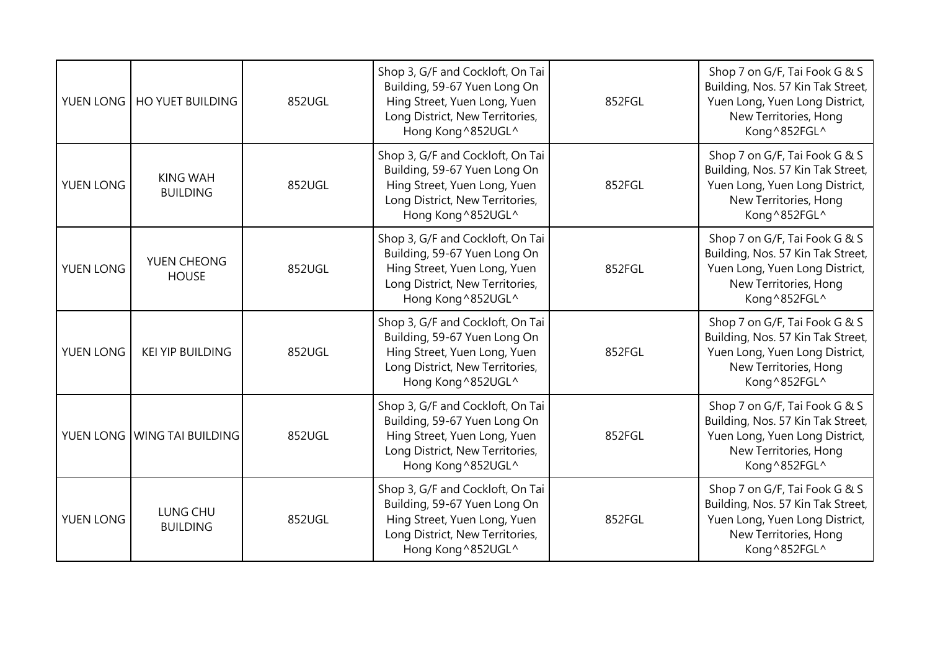| YUEN LONG | <b>HO YUET BUILDING</b>            | 852UGL | Shop 3, G/F and Cockloft, On Tai<br>Building, 59-67 Yuen Long On<br>Hing Street, Yuen Long, Yuen<br>Long District, New Territories,<br>Hong Kong^852UGL^ | 852FGL | Shop 7 on G/F, Tai Fook G & S<br>Building, Nos. 57 Kin Tak Street,<br>Yuen Long, Yuen Long District,<br>New Territories, Hong<br>Kong ^852FGL^ |
|-----------|------------------------------------|--------|----------------------------------------------------------------------------------------------------------------------------------------------------------|--------|------------------------------------------------------------------------------------------------------------------------------------------------|
| YUEN LONG | <b>KING WAH</b><br><b>BUILDING</b> | 852UGL | Shop 3, G/F and Cockloft, On Tai<br>Building, 59-67 Yuen Long On<br>Hing Street, Yuen Long, Yuen<br>Long District, New Territories,<br>Hong Kong^852UGL^ | 852FGL | Shop 7 on G/F, Tai Fook G & S<br>Building, Nos. 57 Kin Tak Street,<br>Yuen Long, Yuen Long District,<br>New Territories, Hong<br>Kong ^852FGL^ |
| YUEN LONG | YUEN CHEONG<br><b>HOUSE</b>        | 852UGL | Shop 3, G/F and Cockloft, On Tai<br>Building, 59-67 Yuen Long On<br>Hing Street, Yuen Long, Yuen<br>Long District, New Territories,<br>Hong Kong^852UGL^ | 852FGL | Shop 7 on G/F, Tai Fook G & S<br>Building, Nos. 57 Kin Tak Street,<br>Yuen Long, Yuen Long District,<br>New Territories, Hong<br>Kong^852FGL^  |
| YUEN LONG | <b>KEI YIP BUILDING</b>            | 852UGL | Shop 3, G/F and Cockloft, On Tai<br>Building, 59-67 Yuen Long On<br>Hing Street, Yuen Long, Yuen<br>Long District, New Territories,<br>Hong Kong^852UGL^ | 852FGL | Shop 7 on G/F, Tai Fook G & S<br>Building, Nos. 57 Kin Tak Street,<br>Yuen Long, Yuen Long District,<br>New Territories, Hong<br>Kong^852FGL^  |
|           | YUEN LONG WING TAI BUILDING        | 852UGL | Shop 3, G/F and Cockloft, On Tai<br>Building, 59-67 Yuen Long On<br>Hing Street, Yuen Long, Yuen<br>Long District, New Territories,<br>Hong Kong^852UGL^ | 852FGL | Shop 7 on G/F, Tai Fook G & S<br>Building, Nos. 57 Kin Tak Street,<br>Yuen Long, Yuen Long District,<br>New Territories, Hong<br>Kong ^852FGL^ |
| YUEN LONG | LUNG CHU<br><b>BUILDING</b>        | 852UGL | Shop 3, G/F and Cockloft, On Tai<br>Building, 59-67 Yuen Long On<br>Hing Street, Yuen Long, Yuen<br>Long District, New Territories,<br>Hong Kong^852UGL^ | 852FGL | Shop 7 on G/F, Tai Fook G & S<br>Building, Nos. 57 Kin Tak Street,<br>Yuen Long, Yuen Long District,<br>New Territories, Hong<br>Kong^852FGL^  |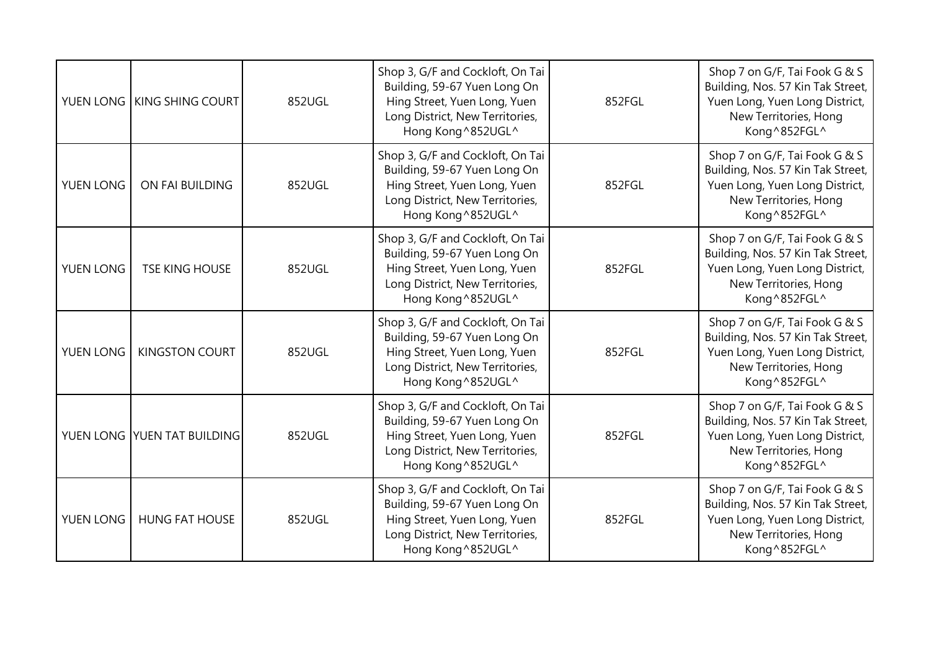|           | YUEN LONG KING SHING COURT  | 852UGL | Shop 3, G/F and Cockloft, On Tai<br>Building, 59-67 Yuen Long On<br>Hing Street, Yuen Long, Yuen<br>Long District, New Territories,<br>Hong Kong^852UGL^  | 852FGL | Shop 7 on G/F, Tai Fook G & S<br>Building, Nos. 57 Kin Tak Street,<br>Yuen Long, Yuen Long District,<br>New Territories, Hong<br>Kong^852FGL^ |
|-----------|-----------------------------|--------|-----------------------------------------------------------------------------------------------------------------------------------------------------------|--------|-----------------------------------------------------------------------------------------------------------------------------------------------|
| YUEN LONG | ON FAI BUILDING             | 852UGL | Shop 3, G/F and Cockloft, On Tai<br>Building, 59-67 Yuen Long On<br>Hing Street, Yuen Long, Yuen<br>Long District, New Territories,<br>Hong Kong^852UGL^  | 852FGL | Shop 7 on G/F, Tai Fook G & S<br>Building, Nos. 57 Kin Tak Street,<br>Yuen Long, Yuen Long District,<br>New Territories, Hong<br>Kong^852FGL^ |
| YUEN LONG | <b>TSE KING HOUSE</b>       | 852UGL | Shop 3, G/F and Cockloft, On Tai<br>Building, 59-67 Yuen Long On<br>Hing Street, Yuen Long, Yuen<br>Long District, New Territories,<br>Hong Kong^852UGL^  | 852FGL | Shop 7 on G/F, Tai Fook G & S<br>Building, Nos. 57 Kin Tak Street,<br>Yuen Long, Yuen Long District,<br>New Territories, Hong<br>Kong^852FGL^ |
| YUEN LONG | <b>KINGSTON COURT</b>       | 852UGL | Shop 3, G/F and Cockloft, On Tai<br>Building, 59-67 Yuen Long On<br>Hing Street, Yuen Long, Yuen<br>Long District, New Territories,<br>Hong Kong ^852UGL^ | 852FGL | Shop 7 on G/F, Tai Fook G & S<br>Building, Nos. 57 Kin Tak Street,<br>Yuen Long, Yuen Long District,<br>New Territories, Hong<br>Kong^852FGL^ |
|           | YUEN LONG YUEN TAT BUILDING | 852UGL | Shop 3, G/F and Cockloft, On Tai<br>Building, 59-67 Yuen Long On<br>Hing Street, Yuen Long, Yuen<br>Long District, New Territories,<br>Hong Kong^852UGL^  | 852FGL | Shop 7 on G/F, Tai Fook G & S<br>Building, Nos. 57 Kin Tak Street,<br>Yuen Long, Yuen Long District,<br>New Territories, Hong<br>Kong^852FGL^ |
| YUEN LONG | <b>HUNG FAT HOUSE</b>       | 852UGL | Shop 3, G/F and Cockloft, On Tai<br>Building, 59-67 Yuen Long On<br>Hing Street, Yuen Long, Yuen<br>Long District, New Territories,<br>Hong Kong^852UGL^  | 852FGL | Shop 7 on G/F, Tai Fook G & S<br>Building, Nos. 57 Kin Tak Street,<br>Yuen Long, Yuen Long District,<br>New Territories, Hong<br>Kong^852FGL^ |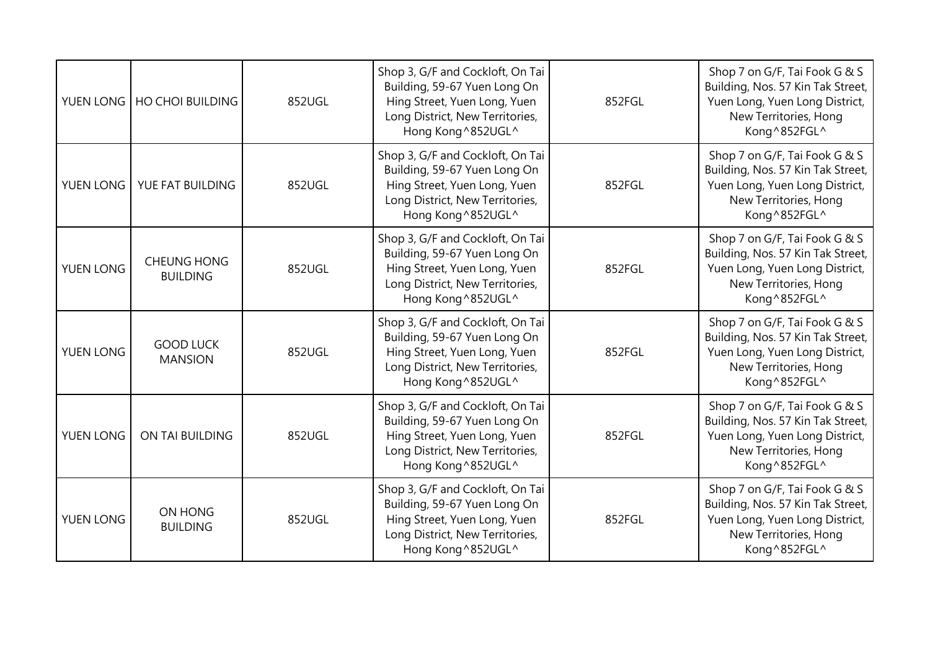|           | YUEN LONG   HO CHOI BUILDING          | 852UGL | Shop 3, G/F and Cockloft, On Tai<br>Building, 59-67 Yuen Long On<br>Hing Street, Yuen Long, Yuen<br>Long District, New Territories,<br>Hong Kong^852UGL^  | 852FGL | Shop 7 on G/F, Tai Fook G & S<br>Building, Nos. 57 Kin Tak Street,<br>Yuen Long, Yuen Long District,<br>New Territories, Hong<br>Kong ^852FGL^ |
|-----------|---------------------------------------|--------|-----------------------------------------------------------------------------------------------------------------------------------------------------------|--------|------------------------------------------------------------------------------------------------------------------------------------------------|
| YUEN LONG | YUE FAT BUILDING                      | 852UGL | Shop 3, G/F and Cockloft, On Tai<br>Building, 59-67 Yuen Long On<br>Hing Street, Yuen Long, Yuen<br>Long District, New Territories,<br>Hong Kong^852UGL^  | 852FGL | Shop 7 on G/F, Tai Fook G & S<br>Building, Nos. 57 Kin Tak Street,<br>Yuen Long, Yuen Long District,<br>New Territories, Hong<br>Kong ^852FGL^ |
| YUEN LONG | <b>CHEUNG HONG</b><br><b>BUILDING</b> | 852UGL | Shop 3, G/F and Cockloft, On Tai<br>Building, 59-67 Yuen Long On<br>Hing Street, Yuen Long, Yuen<br>Long District, New Territories,<br>Hong Kong^852UGL^  | 852FGL | Shop 7 on G/F, Tai Fook G & S<br>Building, Nos. 57 Kin Tak Street,<br>Yuen Long, Yuen Long District,<br>New Territories, Hong<br>Kong^852FGL^  |
| YUEN LONG | <b>GOOD LUCK</b><br><b>MANSION</b>    | 852UGL | Shop 3, G/F and Cockloft, On Tai<br>Building, 59-67 Yuen Long On<br>Hing Street, Yuen Long, Yuen<br>Long District, New Territories,<br>Hong Kong ^852UGL^ | 852FGL | Shop 7 on G/F, Tai Fook G & S<br>Building, Nos. 57 Kin Tak Street,<br>Yuen Long, Yuen Long District,<br>New Territories, Hong<br>Kong^852FGL^  |
| YUEN LONG | ON TAI BUILDING                       | 852UGL | Shop 3, G/F and Cockloft, On Tai<br>Building, 59-67 Yuen Long On<br>Hing Street, Yuen Long, Yuen<br>Long District, New Territories,<br>Hong Kong^852UGL^  | 852FGL | Shop 7 on G/F, Tai Fook G & S<br>Building, Nos. 57 Kin Tak Street,<br>Yuen Long, Yuen Long District,<br>New Territories, Hong<br>Kong ^852FGL^ |
| YUEN LONG | ON HONG<br><b>BUILDING</b>            | 852UGL | Shop 3, G/F and Cockloft, On Tai<br>Building, 59-67 Yuen Long On<br>Hing Street, Yuen Long, Yuen<br>Long District, New Territories,<br>Hong Kong^852UGL^  | 852FGL | Shop 7 on G/F, Tai Fook G & S<br>Building, Nos. 57 Kin Tak Street,<br>Yuen Long, Yuen Long District,<br>New Territories, Hong<br>Kong^852FGL^  |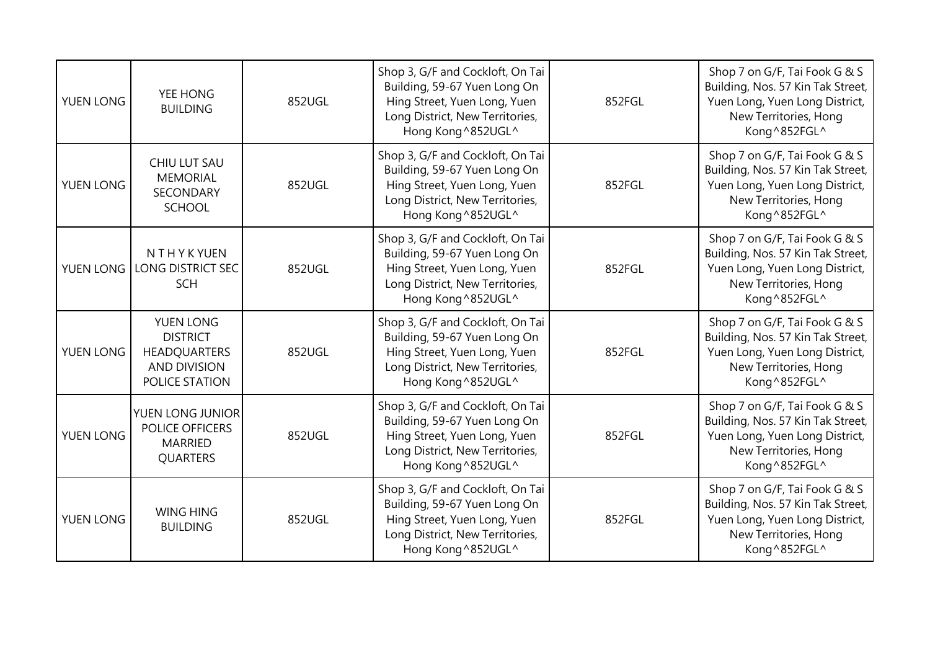| YUEN LONG | YEE HONG<br><b>BUILDING</b>                                                           | 852UGL | Shop 3, G/F and Cockloft, On Tai<br>Building, 59-67 Yuen Long On<br>Hing Street, Yuen Long, Yuen<br>Long District, New Territories,<br>Hong Kong^852UGL^  | 852FGL | Shop 7 on G/F, Tai Fook G & S<br>Building, Nos. 57 Kin Tak Street,<br>Yuen Long, Yuen Long District,<br>New Territories, Hong<br>Kong^852FGL^  |
|-----------|---------------------------------------------------------------------------------------|--------|-----------------------------------------------------------------------------------------------------------------------------------------------------------|--------|------------------------------------------------------------------------------------------------------------------------------------------------|
| YUEN LONG | CHIU LUT SAU<br><b>MEMORIAL</b><br><b>SECONDARY</b><br><b>SCHOOL</b>                  | 852UGL | Shop 3, G/F and Cockloft, On Tai<br>Building, 59-67 Yuen Long On<br>Hing Street, Yuen Long, Yuen<br>Long District, New Territories,<br>Hong Kong^852UGL^  | 852FGL | Shop 7 on G/F, Tai Fook G & S<br>Building, Nos. 57 Kin Tak Street,<br>Yuen Long, Yuen Long District,<br>New Territories, Hong<br>Kong^852FGL^  |
| YUEN LONG | NTHYKYUEN<br><b>LONG DISTRICT SEC</b><br><b>SCH</b>                                   | 852UGL | Shop 3, G/F and Cockloft, On Tai<br>Building, 59-67 Yuen Long On<br>Hing Street, Yuen Long, Yuen<br>Long District, New Territories,<br>Hong Kong^852UGL^  | 852FGL | Shop 7 on G/F, Tai Fook G & S<br>Building, Nos. 57 Kin Tak Street,<br>Yuen Long, Yuen Long District,<br>New Territories, Hong<br>Kong ^852FGL^ |
| YUEN LONG | YUEN LONG<br><b>DISTRICT</b><br>HEADQUARTERS<br><b>AND DIVISION</b><br>POLICE STATION | 852UGL | Shop 3, G/F and Cockloft, On Tai<br>Building, 59-67 Yuen Long On<br>Hing Street, Yuen Long, Yuen<br>Long District, New Territories,<br>Hong Kong ^852UGL^ | 852FGL | Shop 7 on G/F, Tai Fook G & S<br>Building, Nos. 57 Kin Tak Street,<br>Yuen Long, Yuen Long District,<br>New Territories, Hong<br>Kong^852FGL^  |
| YUEN LONG | YUEN LONG JUNIOR<br>POLICE OFFICERS<br><b>MARRIED</b><br>QUARTERS                     | 852UGL | Shop 3, G/F and Cockloft, On Tai<br>Building, 59-67 Yuen Long On<br>Hing Street, Yuen Long, Yuen<br>Long District, New Territories,<br>Hong Kong ^852UGL^ | 852FGL | Shop 7 on G/F, Tai Fook G & S<br>Building, Nos. 57 Kin Tak Street,<br>Yuen Long, Yuen Long District,<br>New Territories, Hong<br>Kong ^852FGL^ |
| YUEN LONG | <b>WING HING</b><br><b>BUILDING</b>                                                   | 852UGL | Shop 3, G/F and Cockloft, On Tai<br>Building, 59-67 Yuen Long On<br>Hing Street, Yuen Long, Yuen<br>Long District, New Territories,<br>Hong Kong ^852UGL^ | 852FGL | Shop 7 on G/F, Tai Fook G & S<br>Building, Nos. 57 Kin Tak Street,<br>Yuen Long, Yuen Long District,<br>New Territories, Hong<br>Kong^852FGL^  |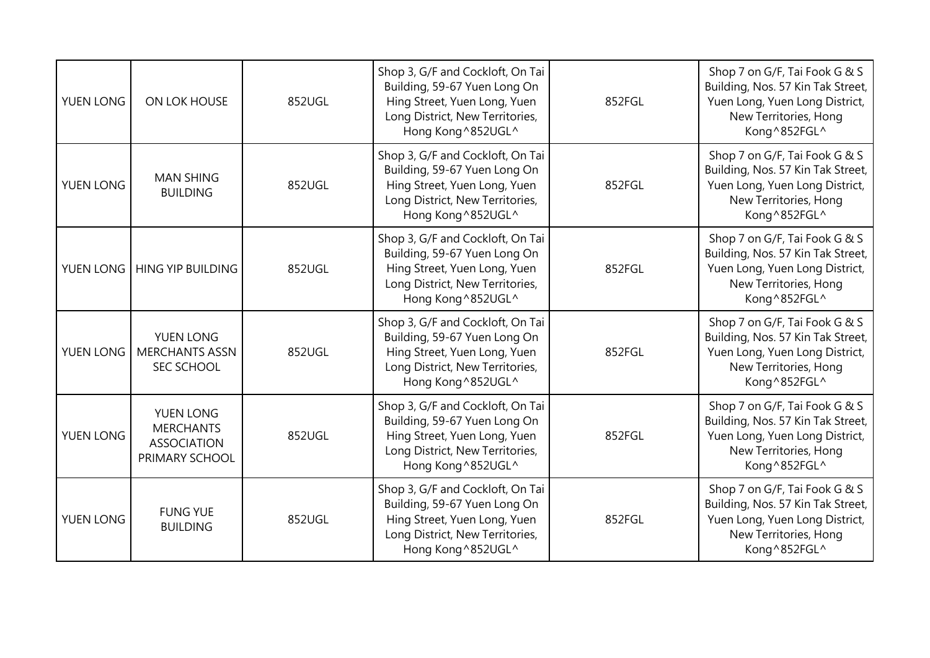| YUEN LONG | ON LOK HOUSE                                                          | 852UGL | Shop 3, G/F and Cockloft, On Tai<br>Building, 59-67 Yuen Long On<br>Hing Street, Yuen Long, Yuen<br>Long District, New Territories,<br>Hong Kong^852UGL^  | 852FGL | Shop 7 on G/F, Tai Fook G & S<br>Building, Nos. 57 Kin Tak Street,<br>Yuen Long, Yuen Long District,<br>New Territories, Hong<br>Kong ^852FGL^ |
|-----------|-----------------------------------------------------------------------|--------|-----------------------------------------------------------------------------------------------------------------------------------------------------------|--------|------------------------------------------------------------------------------------------------------------------------------------------------|
| YUEN LONG | <b>MAN SHING</b><br><b>BUILDING</b>                                   | 852UGL | Shop 3, G/F and Cockloft, On Tai<br>Building, 59-67 Yuen Long On<br>Hing Street, Yuen Long, Yuen<br>Long District, New Territories,<br>Hong Kong^852UGL^  | 852FGL | Shop 7 on G/F, Tai Fook G & S<br>Building, Nos. 57 Kin Tak Street,<br>Yuen Long, Yuen Long District,<br>New Territories, Hong<br>Kong ^852FGL^ |
| YUEN LONG | <b>HING YIP BUILDING</b>                                              | 852UGL | Shop 3, G/F and Cockloft, On Tai<br>Building, 59-67 Yuen Long On<br>Hing Street, Yuen Long, Yuen<br>Long District, New Territories,<br>Hong Kong^852UGL^  | 852FGL | Shop 7 on G/F, Tai Fook G & S<br>Building, Nos. 57 Kin Tak Street,<br>Yuen Long, Yuen Long District,<br>New Territories, Hong<br>Kong^852FGL^  |
| YUEN LONG | YUEN LONG<br><b>MERCHANTS ASSN</b><br>SEC SCHOOL                      | 852UGL | Shop 3, G/F and Cockloft, On Tai<br>Building, 59-67 Yuen Long On<br>Hing Street, Yuen Long, Yuen<br>Long District, New Territories,<br>Hong Kong ^852UGL^ | 852FGL | Shop 7 on G/F, Tai Fook G & S<br>Building, Nos. 57 Kin Tak Street,<br>Yuen Long, Yuen Long District,<br>New Territories, Hong<br>Kong^852FGL^  |
| YUEN LONG | YUEN LONG<br><b>MERCHANTS</b><br><b>ASSOCIATION</b><br>PRIMARY SCHOOL | 852UGL | Shop 3, G/F and Cockloft, On Tai<br>Building, 59-67 Yuen Long On<br>Hing Street, Yuen Long, Yuen<br>Long District, New Territories,<br>Hong Kong ^852UGL^ | 852FGL | Shop 7 on G/F, Tai Fook G & S<br>Building, Nos. 57 Kin Tak Street,<br>Yuen Long, Yuen Long District,<br>New Territories, Hong<br>Kong ^852FGL^ |
| YUEN LONG | <b>FUNG YUE</b><br><b>BUILDING</b>                                    | 852UGL | Shop 3, G/F and Cockloft, On Tai<br>Building, 59-67 Yuen Long On<br>Hing Street, Yuen Long, Yuen<br>Long District, New Territories,<br>Hong Kong^852UGL^  | 852FGL | Shop 7 on G/F, Tai Fook G & S<br>Building, Nos. 57 Kin Tak Street,<br>Yuen Long, Yuen Long District,<br>New Territories, Hong<br>Kong^852FGL^  |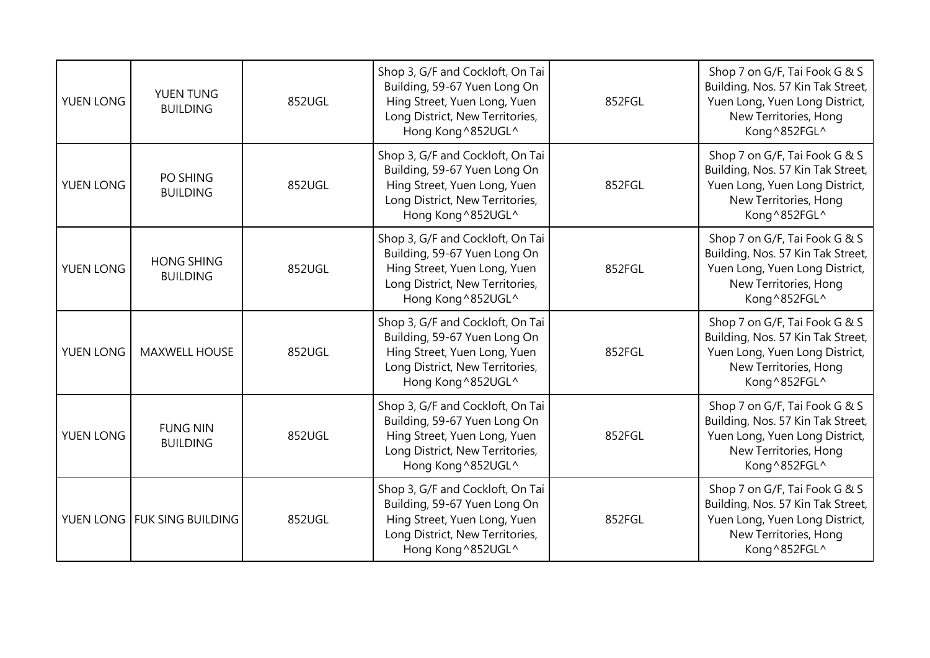| <b>YUEN LONG</b> | YUEN TUNG<br><b>BUILDING</b>         | 852UGL | Shop 3, G/F and Cockloft, On Tai<br>Building, 59-67 Yuen Long On<br>Hing Street, Yuen Long, Yuen<br>Long District, New Territories,<br>Hong Kong^852UGL^  | 852FGL | Shop 7 on G/F, Tai Fook G & S<br>Building, Nos. 57 Kin Tak Street,<br>Yuen Long, Yuen Long District,<br>New Territories, Hong<br>Kong^852FGL^ |
|------------------|--------------------------------------|--------|-----------------------------------------------------------------------------------------------------------------------------------------------------------|--------|-----------------------------------------------------------------------------------------------------------------------------------------------|
| YUEN LONG        | PO SHING<br><b>BUILDING</b>          | 852UGL | Shop 3, G/F and Cockloft, On Tai<br>Building, 59-67 Yuen Long On<br>Hing Street, Yuen Long, Yuen<br>Long District, New Territories,<br>Hong Kong^852UGL^  | 852FGL | Shop 7 on G/F, Tai Fook G & S<br>Building, Nos. 57 Kin Tak Street,<br>Yuen Long, Yuen Long District,<br>New Territories, Hong<br>Kong^852FGL^ |
| YUEN LONG        | <b>HONG SHING</b><br><b>BUILDING</b> | 852UGL | Shop 3, G/F and Cockloft, On Tai<br>Building, 59-67 Yuen Long On<br>Hing Street, Yuen Long, Yuen<br>Long District, New Territories,<br>Hong Kong^852UGL^  | 852FGL | Shop 7 on G/F, Tai Fook G & S<br>Building, Nos. 57 Kin Tak Street,<br>Yuen Long, Yuen Long District,<br>New Territories, Hong<br>Kong^852FGL^ |
| YUEN LONG        | <b>MAXWELL HOUSE</b>                 | 852UGL | Shop 3, G/F and Cockloft, On Tai<br>Building, 59-67 Yuen Long On<br>Hing Street, Yuen Long, Yuen<br>Long District, New Territories,<br>Hong Kong ^852UGL^ | 852FGL | Shop 7 on G/F, Tai Fook G & S<br>Building, Nos. 57 Kin Tak Street,<br>Yuen Long, Yuen Long District,<br>New Territories, Hong<br>Kong^852FGL^ |
| YUEN LONG        | <b>FUNG NIN</b><br><b>BUILDING</b>   | 852UGL | Shop 3, G/F and Cockloft, On Tai<br>Building, 59-67 Yuen Long On<br>Hing Street, Yuen Long, Yuen<br>Long District, New Territories,<br>Hong Kong^852UGL^  | 852FGL | Shop 7 on G/F, Tai Fook G & S<br>Building, Nos. 57 Kin Tak Street,<br>Yuen Long, Yuen Long District,<br>New Territories, Hong<br>Kong^852FGL^ |
|                  | YUEN LONG FUK SING BUILDING          | 852UGL | Shop 3, G/F and Cockloft, On Tai<br>Building, 59-67 Yuen Long On<br>Hing Street, Yuen Long, Yuen<br>Long District, New Territories,<br>Hong Kong^852UGL^  | 852FGL | Shop 7 on G/F, Tai Fook G & S<br>Building, Nos. 57 Kin Tak Street,<br>Yuen Long, Yuen Long District,<br>New Territories, Hong<br>Kong^852FGL^ |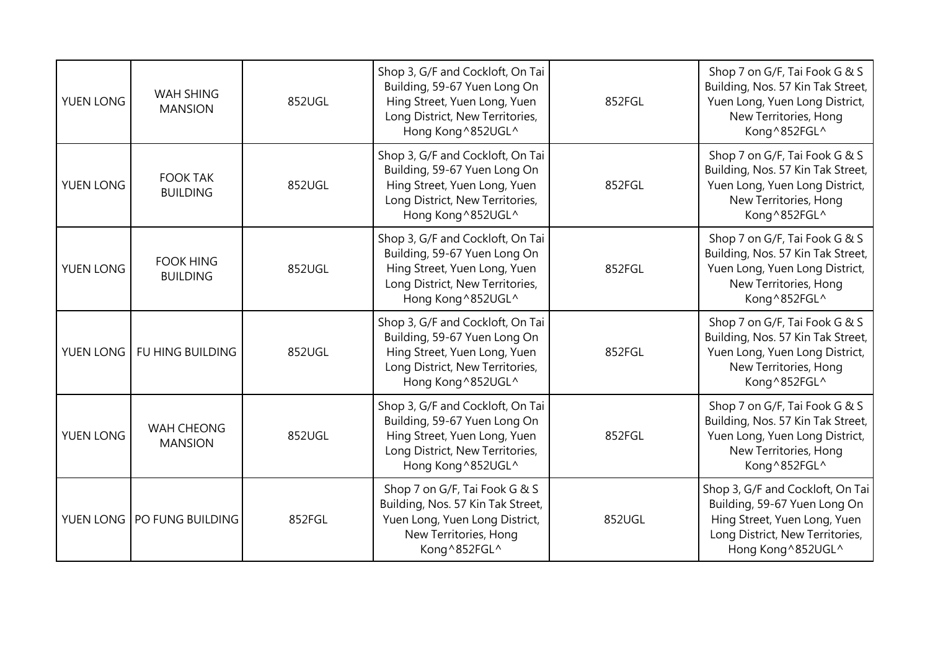| YUEN LONG | <b>WAH SHING</b><br><b>MANSION</b>  | 852UGL | Shop 3, G/F and Cockloft, On Tai<br>Building, 59-67 Yuen Long On<br>Hing Street, Yuen Long, Yuen<br>Long District, New Territories,<br>Hong Kong^852UGL^  | 852FGL | Shop 7 on G/F, Tai Fook G & S<br>Building, Nos. 57 Kin Tak Street,<br>Yuen Long, Yuen Long District,<br>New Territories, Hong<br>Kong ^852FGL^            |
|-----------|-------------------------------------|--------|-----------------------------------------------------------------------------------------------------------------------------------------------------------|--------|-----------------------------------------------------------------------------------------------------------------------------------------------------------|
| YUEN LONG | <b>FOOK TAK</b><br><b>BUILDING</b>  | 852UGL | Shop 3, G/F and Cockloft, On Tai<br>Building, 59-67 Yuen Long On<br>Hing Street, Yuen Long, Yuen<br>Long District, New Territories,<br>Hong Kong^852UGL^  | 852FGL | Shop 7 on G/F, Tai Fook G & S<br>Building, Nos. 57 Kin Tak Street,<br>Yuen Long, Yuen Long District,<br>New Territories, Hong<br>Kong ^852FGL^            |
| YUEN LONG | <b>FOOK HING</b><br><b>BUILDING</b> | 852UGL | Shop 3, G/F and Cockloft, On Tai<br>Building, 59-67 Yuen Long On<br>Hing Street, Yuen Long, Yuen<br>Long District, New Territories,<br>Hong Kong^852UGL^  | 852FGL | Shop 7 on G/F, Tai Fook G & S<br>Building, Nos. 57 Kin Tak Street,<br>Yuen Long, Yuen Long District,<br>New Territories, Hong<br>Kong^852FGL^             |
| YUEN LONG | FU HING BUILDING                    | 852UGL | Shop 3, G/F and Cockloft, On Tai<br>Building, 59-67 Yuen Long On<br>Hing Street, Yuen Long, Yuen<br>Long District, New Territories,<br>Hong Kong ^852UGL^ | 852FGL | Shop 7 on G/F, Tai Fook G & S<br>Building, Nos. 57 Kin Tak Street,<br>Yuen Long, Yuen Long District,<br>New Territories, Hong<br>Kong^852FGL^             |
| YUEN LONG | WAH CHEONG<br><b>MANSION</b>        | 852UGL | Shop 3, G/F and Cockloft, On Tai<br>Building, 59-67 Yuen Long On<br>Hing Street, Yuen Long, Yuen<br>Long District, New Territories,<br>Hong Kong ^852UGL^ | 852FGL | Shop 7 on G/F, Tai Fook G & S<br>Building, Nos. 57 Kin Tak Street,<br>Yuen Long, Yuen Long District,<br>New Territories, Hong<br>Kong ^852FGL^            |
|           | YUEN LONG   PO FUNG BUILDING        | 852FGL | Shop 7 on G/F, Tai Fook G & S<br>Building, Nos. 57 Kin Tak Street,<br>Yuen Long, Yuen Long District,<br>New Territories, Hong<br>Kong^852FGL^             | 852UGL | Shop 3, G/F and Cockloft, On Tai<br>Building, 59-67 Yuen Long On<br>Hing Street, Yuen Long, Yuen<br>Long District, New Territories,<br>Hong Kong ^852UGL^ |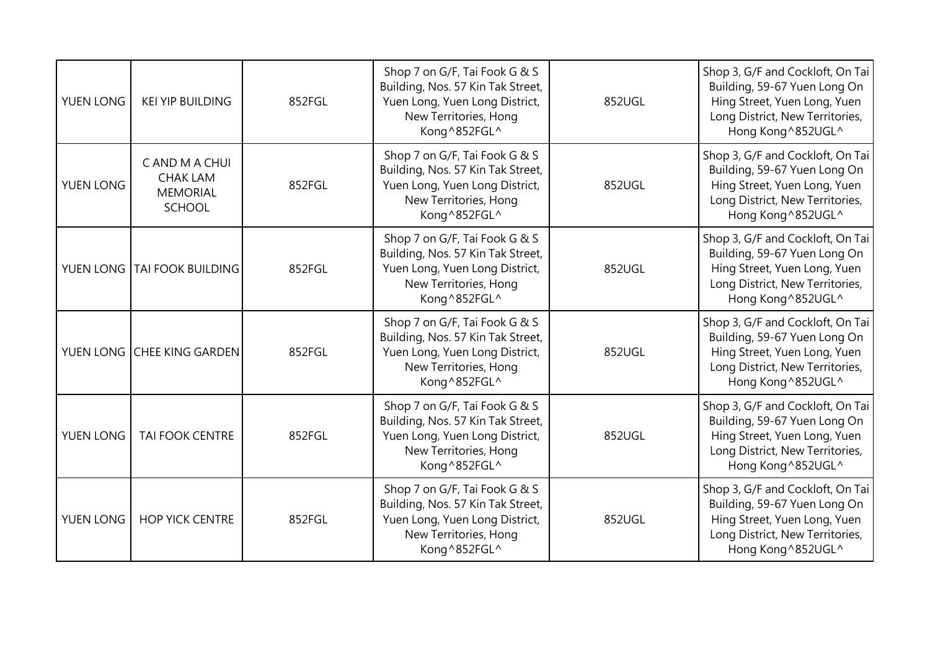| YUEN LONG | <b>KEI YIP BUILDING</b>                                               | 852FGL | Shop 7 on G/F, Tai Fook G & S<br>Building, Nos. 57 Kin Tak Street,<br>Yuen Long, Yuen Long District,<br>New Territories, Hong<br>Kong^852FGL^ | 852UGL | Shop 3, G/F and Cockloft, On Tai<br>Building, 59-67 Yuen Long On<br>Hing Street, Yuen Long, Yuen<br>Long District, New Territories,<br>Hong Kong ^852UGL^ |
|-----------|-----------------------------------------------------------------------|--------|-----------------------------------------------------------------------------------------------------------------------------------------------|--------|-----------------------------------------------------------------------------------------------------------------------------------------------------------|
| YUEN LONG | C AND M A CHUI<br><b>CHAK LAM</b><br><b>MEMORIAL</b><br><b>SCHOOL</b> | 852FGL | Shop 7 on G/F, Tai Fook G & S<br>Building, Nos. 57 Kin Tak Street,<br>Yuen Long, Yuen Long District,<br>New Territories, Hong<br>Kong^852FGL^ | 852UGL | Shop 3, G/F and Cockloft, On Tai<br>Building, 59-67 Yuen Long On<br>Hing Street, Yuen Long, Yuen<br>Long District, New Territories,<br>Hong Kong ^852UGL^ |
|           | YUEN LONG TAI FOOK BUILDING                                           | 852FGL | Shop 7 on G/F, Tai Fook G & S<br>Building, Nos. 57 Kin Tak Street,<br>Yuen Long, Yuen Long District,<br>New Territories, Hong<br>Kong^852FGL^ | 852UGL | Shop 3, G/F and Cockloft, On Tai<br>Building, 59-67 Yuen Long On<br>Hing Street, Yuen Long, Yuen<br>Long District, New Territories,<br>Hong Kong ^852UGL^ |
|           | YUEN LONG CHEE KING GARDEN                                            | 852FGL | Shop 7 on G/F, Tai Fook G & S<br>Building, Nos. 57 Kin Tak Street,<br>Yuen Long, Yuen Long District,<br>New Territories, Hong<br>Kong^852FGL^ | 852UGL | Shop 3, G/F and Cockloft, On Tai<br>Building, 59-67 Yuen Long On<br>Hing Street, Yuen Long, Yuen<br>Long District, New Territories,<br>Hong Kong ^852UGL^ |
| YUEN LONG | <b>TAI FOOK CENTRE</b>                                                | 852FGL | Shop 7 on G/F, Tai Fook G & S<br>Building, Nos. 57 Kin Tak Street,<br>Yuen Long, Yuen Long District,<br>New Territories, Hong<br>Kong^852FGL^ | 852UGL | Shop 3, G/F and Cockloft, On Tai<br>Building, 59-67 Yuen Long On<br>Hing Street, Yuen Long, Yuen<br>Long District, New Territories,<br>Hong Kong ^852UGL^ |
| YUEN LONG | <b>HOP YICK CENTRE</b>                                                | 852FGL | Shop 7 on G/F, Tai Fook G & S<br>Building, Nos. 57 Kin Tak Street,<br>Yuen Long, Yuen Long District,<br>New Territories, Hong<br>Kong^852FGL^ | 852UGL | Shop 3, G/F and Cockloft, On Tai<br>Building, 59-67 Yuen Long On<br>Hing Street, Yuen Long, Yuen<br>Long District, New Territories,<br>Hong Kong ^852UGL^ |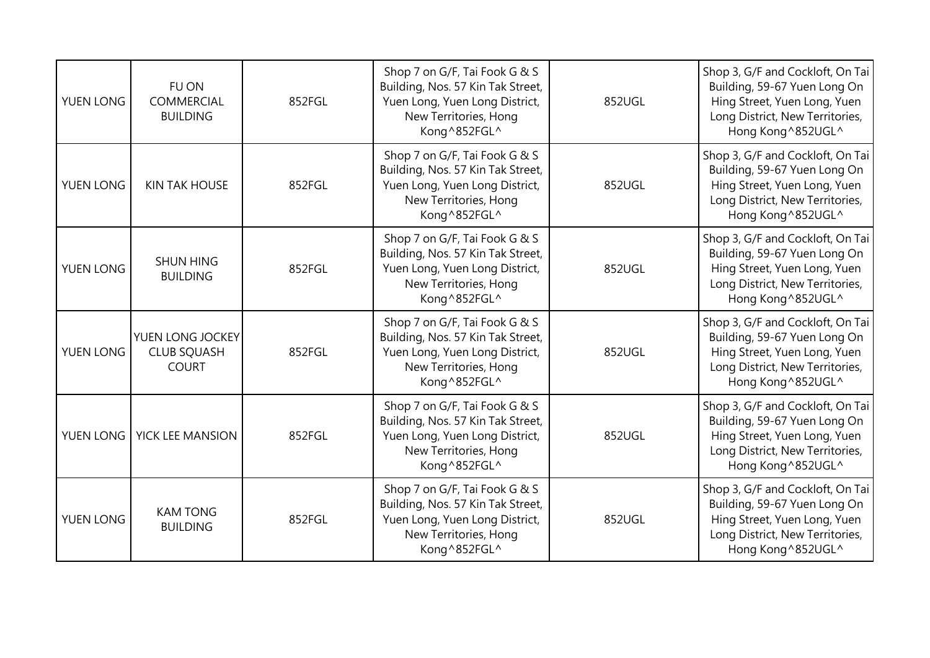| YUEN LONG | FU ON<br><b>COMMERCIAL</b><br><b>BUILDING</b>          | 852FGL | Shop 7 on G/F, Tai Fook G & S<br>Building, Nos. 57 Kin Tak Street,<br>Yuen Long, Yuen Long District,<br>New Territories, Hong<br>Kong^852FGL^ | 852UGL | Shop 3, G/F and Cockloft, On Tai<br>Building, 59-67 Yuen Long On<br>Hing Street, Yuen Long, Yuen<br>Long District, New Territories,<br>Hong Kong ^852UGL^ |
|-----------|--------------------------------------------------------|--------|-----------------------------------------------------------------------------------------------------------------------------------------------|--------|-----------------------------------------------------------------------------------------------------------------------------------------------------------|
| YUEN LONG | <b>KIN TAK HOUSE</b>                                   | 852FGL | Shop 7 on G/F, Tai Fook G & S<br>Building, Nos. 57 Kin Tak Street,<br>Yuen Long, Yuen Long District,<br>New Territories, Hong<br>Kong^852FGL^ | 852UGL | Shop 3, G/F and Cockloft, On Tai<br>Building, 59-67 Yuen Long On<br>Hing Street, Yuen Long, Yuen<br>Long District, New Territories,<br>Hong Kong ^852UGL^ |
| YUEN LONG | <b>SHUN HING</b><br><b>BUILDING</b>                    | 852FGL | Shop 7 on G/F, Tai Fook G & S<br>Building, Nos. 57 Kin Tak Street,<br>Yuen Long, Yuen Long District,<br>New Territories, Hong<br>Kong^852FGL^ | 852UGL | Shop 3, G/F and Cockloft, On Tai<br>Building, 59-67 Yuen Long On<br>Hing Street, Yuen Long, Yuen<br>Long District, New Territories,<br>Hong Kong ^852UGL^ |
| YUEN LONG | YUEN LONG JOCKEY<br><b>CLUB SQUASH</b><br><b>COURT</b> | 852FGL | Shop 7 on G/F, Tai Fook G & S<br>Building, Nos. 57 Kin Tak Street,<br>Yuen Long, Yuen Long District,<br>New Territories, Hong<br>Kong^852FGL^ | 852UGL | Shop 3, G/F and Cockloft, On Tai<br>Building, 59-67 Yuen Long On<br>Hing Street, Yuen Long, Yuen<br>Long District, New Territories,<br>Hong Kong ^852UGL^ |
| YUEN LONG | YICK LEE MANSION                                       | 852FGL | Shop 7 on G/F, Tai Fook G & S<br>Building, Nos. 57 Kin Tak Street,<br>Yuen Long, Yuen Long District,<br>New Territories, Hong<br>Kong^852FGL^ | 852UGL | Shop 3, G/F and Cockloft, On Tai<br>Building, 59-67 Yuen Long On<br>Hing Street, Yuen Long, Yuen<br>Long District, New Territories,<br>Hong Kong ^852UGL^ |
| YUEN LONG | <b>KAM TONG</b><br><b>BUILDING</b>                     | 852FGL | Shop 7 on G/F, Tai Fook G & S<br>Building, Nos. 57 Kin Tak Street,<br>Yuen Long, Yuen Long District,<br>New Territories, Hong<br>Kong^852FGL^ | 852UGL | Shop 3, G/F and Cockloft, On Tai<br>Building, 59-67 Yuen Long On<br>Hing Street, Yuen Long, Yuen<br>Long District, New Territories,<br>Hong Kong ^852UGL^ |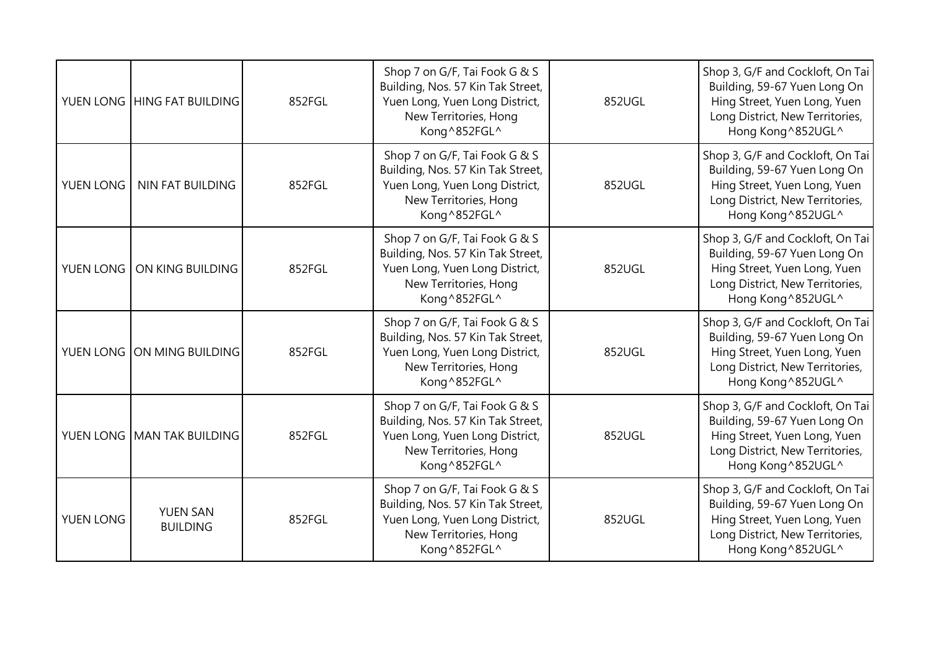|           | YUEN LONG HING FAT BUILDING        | 852FGL | Shop 7 on G/F, Tai Fook G & S<br>Building, Nos. 57 Kin Tak Street,<br>Yuen Long, Yuen Long District,<br>New Territories, Hong<br>Kong^852FGL^ | 852UGL | Shop 3, G/F and Cockloft, On Tai<br>Building, 59-67 Yuen Long On<br>Hing Street, Yuen Long, Yuen<br>Long District, New Territories,<br>Hong Kong ^852UGL^ |
|-----------|------------------------------------|--------|-----------------------------------------------------------------------------------------------------------------------------------------------|--------|-----------------------------------------------------------------------------------------------------------------------------------------------------------|
| YUEN LONG | NIN FAT BUILDING                   | 852FGL | Shop 7 on G/F, Tai Fook G & S<br>Building, Nos. 57 Kin Tak Street,<br>Yuen Long, Yuen Long District,<br>New Territories, Hong<br>Kong^852FGL^ | 852UGL | Shop 3, G/F and Cockloft, On Tai<br>Building, 59-67 Yuen Long On<br>Hing Street, Yuen Long, Yuen<br>Long District, New Territories,<br>Hong Kong ^852UGL^ |
| YUEN LONG | ON KING BUILDING                   | 852FGL | Shop 7 on G/F, Tai Fook G & S<br>Building, Nos. 57 Kin Tak Street,<br>Yuen Long, Yuen Long District,<br>New Territories, Hong<br>Kong^852FGL^ | 852UGL | Shop 3, G/F and Cockloft, On Tai<br>Building, 59-67 Yuen Long On<br>Hing Street, Yuen Long, Yuen<br>Long District, New Territories,<br>Hong Kong ^852UGL^ |
|           | YUEN LONG ON MING BUILDING         | 852FGL | Shop 7 on G/F, Tai Fook G & S<br>Building, Nos. 57 Kin Tak Street,<br>Yuen Long, Yuen Long District,<br>New Territories, Hong<br>Kong^852FGL^ | 852UGL | Shop 3, G/F and Cockloft, On Tai<br>Building, 59-67 Yuen Long On<br>Hing Street, Yuen Long, Yuen<br>Long District, New Territories,<br>Hong Kong ^852UGL^ |
|           | YUEN LONG MAN TAK BUILDING         | 852FGL | Shop 7 on G/F, Tai Fook G & S<br>Building, Nos. 57 Kin Tak Street,<br>Yuen Long, Yuen Long District,<br>New Territories, Hong<br>Kong^852FGL^ | 852UGL | Shop 3, G/F and Cockloft, On Tai<br>Building, 59-67 Yuen Long On<br>Hing Street, Yuen Long, Yuen<br>Long District, New Territories,<br>Hong Kong ^852UGL^ |
| YUEN LONG | <b>YUEN SAN</b><br><b>BUILDING</b> | 852FGL | Shop 7 on G/F, Tai Fook G & S<br>Building, Nos. 57 Kin Tak Street,<br>Yuen Long, Yuen Long District,<br>New Territories, Hong<br>Kong^852FGL^ | 852UGL | Shop 3, G/F and Cockloft, On Tai<br>Building, 59-67 Yuen Long On<br>Hing Street, Yuen Long, Yuen<br>Long District, New Territories,<br>Hong Kong ^852UGL^ |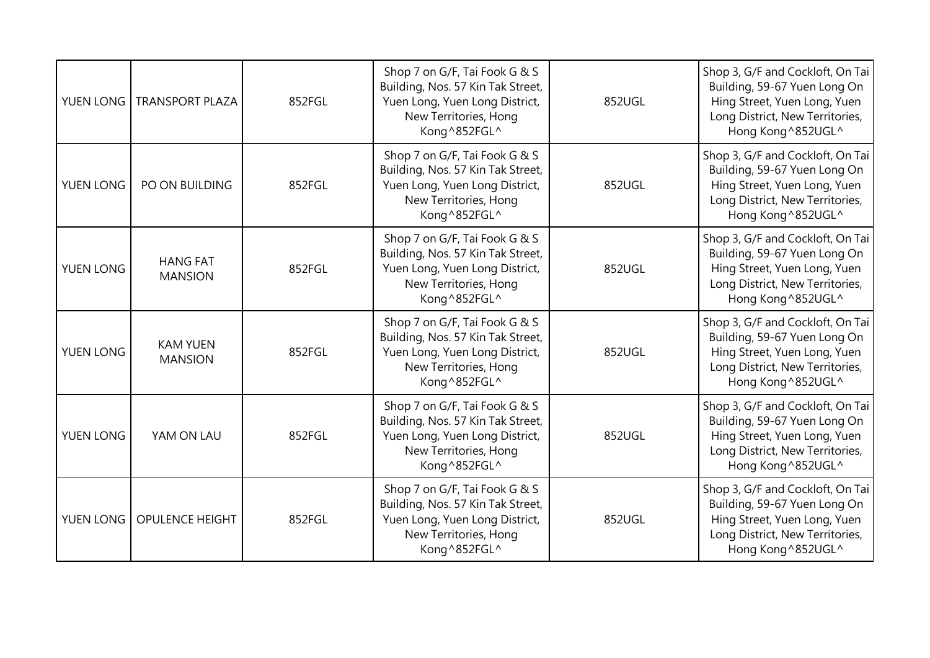| YUEN LONG | <b>TRANSPORT PLAZA</b>            | 852FGL | Shop 7 on G/F, Tai Fook G & S<br>Building, Nos. 57 Kin Tak Street,<br>Yuen Long, Yuen Long District,<br>New Territories, Hong<br>Kong^852FGL^ | 852UGL | Shop 3, G/F and Cockloft, On Tai<br>Building, 59-67 Yuen Long On<br>Hing Street, Yuen Long, Yuen<br>Long District, New Territories,<br>Hong Kong ^852UGL^ |
|-----------|-----------------------------------|--------|-----------------------------------------------------------------------------------------------------------------------------------------------|--------|-----------------------------------------------------------------------------------------------------------------------------------------------------------|
| YUEN LONG | PO ON BUILDING                    | 852FGL | Shop 7 on G/F, Tai Fook G & S<br>Building, Nos. 57 Kin Tak Street,<br>Yuen Long, Yuen Long District,<br>New Territories, Hong<br>Kong^852FGL^ | 852UGL | Shop 3, G/F and Cockloft, On Tai<br>Building, 59-67 Yuen Long On<br>Hing Street, Yuen Long, Yuen<br>Long District, New Territories,<br>Hong Kong ^852UGL^ |
| YUEN LONG | <b>HANG FAT</b><br><b>MANSION</b> | 852FGL | Shop 7 on G/F, Tai Fook G & S<br>Building, Nos. 57 Kin Tak Street,<br>Yuen Long, Yuen Long District,<br>New Territories, Hong<br>Kong^852FGL^ | 852UGL | Shop 3, G/F and Cockloft, On Tai<br>Building, 59-67 Yuen Long On<br>Hing Street, Yuen Long, Yuen<br>Long District, New Territories,<br>Hong Kong ^852UGL^ |
| YUEN LONG | <b>KAM YUEN</b><br><b>MANSION</b> | 852FGL | Shop 7 on G/F, Tai Fook G & S<br>Building, Nos. 57 Kin Tak Street,<br>Yuen Long, Yuen Long District,<br>New Territories, Hong<br>Kong^852FGL^ | 852UGL | Shop 3, G/F and Cockloft, On Tai<br>Building, 59-67 Yuen Long On<br>Hing Street, Yuen Long, Yuen<br>Long District, New Territories,<br>Hong Kong ^852UGL^ |
| YUEN LONG | YAM ON LAU                        | 852FGL | Shop 7 on G/F, Tai Fook G & S<br>Building, Nos. 57 Kin Tak Street,<br>Yuen Long, Yuen Long District,<br>New Territories, Hong<br>Kong^852FGL^ | 852UGL | Shop 3, G/F and Cockloft, On Tai<br>Building, 59-67 Yuen Long On<br>Hing Street, Yuen Long, Yuen<br>Long District, New Territories,<br>Hong Kong ^852UGL^ |
| YUEN LONG | <b>OPULENCE HEIGHT</b>            | 852FGL | Shop 7 on G/F, Tai Fook G & S<br>Building, Nos. 57 Kin Tak Street,<br>Yuen Long, Yuen Long District,<br>New Territories, Hong<br>Kong^852FGL^ | 852UGL | Shop 3, G/F and Cockloft, On Tai<br>Building, 59-67 Yuen Long On<br>Hing Street, Yuen Long, Yuen<br>Long District, New Territories,<br>Hong Kong ^852UGL^ |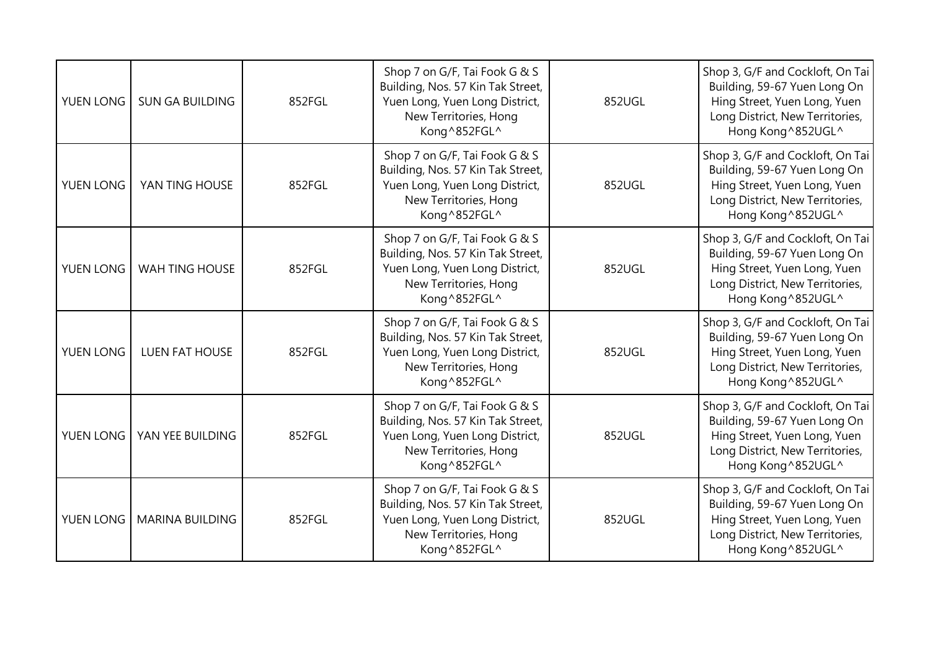| YUEN LONG | <b>SUN GA BUILDING</b> | 852FGL | Shop 7 on G/F, Tai Fook G & S<br>Building, Nos. 57 Kin Tak Street,<br>Yuen Long, Yuen Long District,<br>New Territories, Hong<br>Kong^852FGL^ | 852UGL | Shop 3, G/F and Cockloft, On Tai<br>Building, 59-67 Yuen Long On<br>Hing Street, Yuen Long, Yuen<br>Long District, New Territories,<br>Hong Kong ^852UGL^ |
|-----------|------------------------|--------|-----------------------------------------------------------------------------------------------------------------------------------------------|--------|-----------------------------------------------------------------------------------------------------------------------------------------------------------|
| YUEN LONG | YAN TING HOUSE         | 852FGL | Shop 7 on G/F, Tai Fook G & S<br>Building, Nos. 57 Kin Tak Street,<br>Yuen Long, Yuen Long District,<br>New Territories, Hong<br>Kong^852FGL^ | 852UGL | Shop 3, G/F and Cockloft, On Tai<br>Building, 59-67 Yuen Long On<br>Hing Street, Yuen Long, Yuen<br>Long District, New Territories,<br>Hong Kong ^852UGL^ |
| YUEN LONG | WAH TING HOUSE         | 852FGL | Shop 7 on G/F, Tai Fook G & S<br>Building, Nos. 57 Kin Tak Street,<br>Yuen Long, Yuen Long District,<br>New Territories, Hong<br>Kong^852FGL^ | 852UGL | Shop 3, G/F and Cockloft, On Tai<br>Building, 59-67 Yuen Long On<br>Hing Street, Yuen Long, Yuen<br>Long District, New Territories,<br>Hong Kong ^852UGL^ |
| YUEN LONG | <b>LUEN FAT HOUSE</b>  | 852FGL | Shop 7 on G/F, Tai Fook G & S<br>Building, Nos. 57 Kin Tak Street,<br>Yuen Long, Yuen Long District,<br>New Territories, Hong<br>Kong^852FGL^ | 852UGL | Shop 3, G/F and Cockloft, On Tai<br>Building, 59-67 Yuen Long On<br>Hing Street, Yuen Long, Yuen<br>Long District, New Territories,<br>Hong Kong ^852UGL^ |
| YUEN LONG | YAN YEE BUILDING       | 852FGL | Shop 7 on G/F, Tai Fook G & S<br>Building, Nos. 57 Kin Tak Street,<br>Yuen Long, Yuen Long District,<br>New Territories, Hong<br>Kong^852FGL^ | 852UGL | Shop 3, G/F and Cockloft, On Tai<br>Building, 59-67 Yuen Long On<br>Hing Street, Yuen Long, Yuen<br>Long District, New Territories,<br>Hong Kong ^852UGL^ |
| YUEN LONG | <b>MARINA BUILDING</b> | 852FGL | Shop 7 on G/F, Tai Fook G & S<br>Building, Nos. 57 Kin Tak Street,<br>Yuen Long, Yuen Long District,<br>New Territories, Hong<br>Kong^852FGL^ | 852UGL | Shop 3, G/F and Cockloft, On Tai<br>Building, 59-67 Yuen Long On<br>Hing Street, Yuen Long, Yuen<br>Long District, New Territories,<br>Hong Kong ^852UGL^ |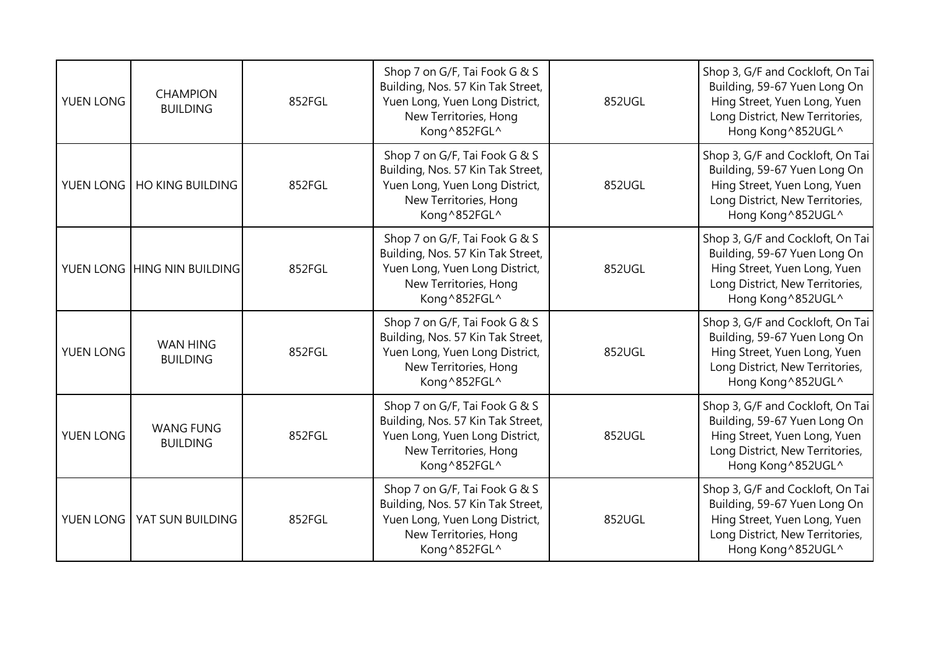| <b>YUEN LONG</b> | <b>CHAMPION</b><br><b>BUILDING</b>  | 852FGL | Shop 7 on G/F, Tai Fook G & S<br>Building, Nos. 57 Kin Tak Street,<br>Yuen Long, Yuen Long District,<br>New Territories, Hong<br>Kong^852FGL^ | 852UGL | Shop 3, G/F and Cockloft, On Tai<br>Building, 59-67 Yuen Long On<br>Hing Street, Yuen Long, Yuen<br>Long District, New Territories,<br>Hong Kong ^852UGL^ |
|------------------|-------------------------------------|--------|-----------------------------------------------------------------------------------------------------------------------------------------------|--------|-----------------------------------------------------------------------------------------------------------------------------------------------------------|
|                  | YUEN LONG   HO KING BUILDING        | 852FGL | Shop 7 on G/F, Tai Fook G & S<br>Building, Nos. 57 Kin Tak Street,<br>Yuen Long, Yuen Long District,<br>New Territories, Hong<br>Kong^852FGL^ | 852UGL | Shop 3, G/F and Cockloft, On Tai<br>Building, 59-67 Yuen Long On<br>Hing Street, Yuen Long, Yuen<br>Long District, New Territories,<br>Hong Kong ^852UGL^ |
|                  | YUEN LONG HING NIN BUILDING         | 852FGL | Shop 7 on G/F, Tai Fook G & S<br>Building, Nos. 57 Kin Tak Street,<br>Yuen Long, Yuen Long District,<br>New Territories, Hong<br>Kong^852FGL^ | 852UGL | Shop 3, G/F and Cockloft, On Tai<br>Building, 59-67 Yuen Long On<br>Hing Street, Yuen Long, Yuen<br>Long District, New Territories,<br>Hong Kong ^852UGL^ |
| YUEN LONG        | <b>WAN HING</b><br><b>BUILDING</b>  | 852FGL | Shop 7 on G/F, Tai Fook G & S<br>Building, Nos. 57 Kin Tak Street,<br>Yuen Long, Yuen Long District,<br>New Territories, Hong<br>Kong^852FGL^ | 852UGL | Shop 3, G/F and Cockloft, On Tai<br>Building, 59-67 Yuen Long On<br>Hing Street, Yuen Long, Yuen<br>Long District, New Territories,<br>Hong Kong ^852UGL^ |
| YUEN LONG        | <b>WANG FUNG</b><br><b>BUILDING</b> | 852FGL | Shop 7 on G/F, Tai Fook G & S<br>Building, Nos. 57 Kin Tak Street,<br>Yuen Long, Yuen Long District,<br>New Territories, Hong<br>Kong^852FGL^ | 852UGL | Shop 3, G/F and Cockloft, On Tai<br>Building, 59-67 Yuen Long On<br>Hing Street, Yuen Long, Yuen<br>Long District, New Territories,<br>Hong Kong ^852UGL^ |
| YUEN LONG        | YAT SUN BUILDING                    | 852FGL | Shop 7 on G/F, Tai Fook G & S<br>Building, Nos. 57 Kin Tak Street,<br>Yuen Long, Yuen Long District,<br>New Territories, Hong<br>Kong^852FGL^ | 852UGL | Shop 3, G/F and Cockloft, On Tai<br>Building, 59-67 Yuen Long On<br>Hing Street, Yuen Long, Yuen<br>Long District, New Territories,<br>Hong Kong ^852UGL^ |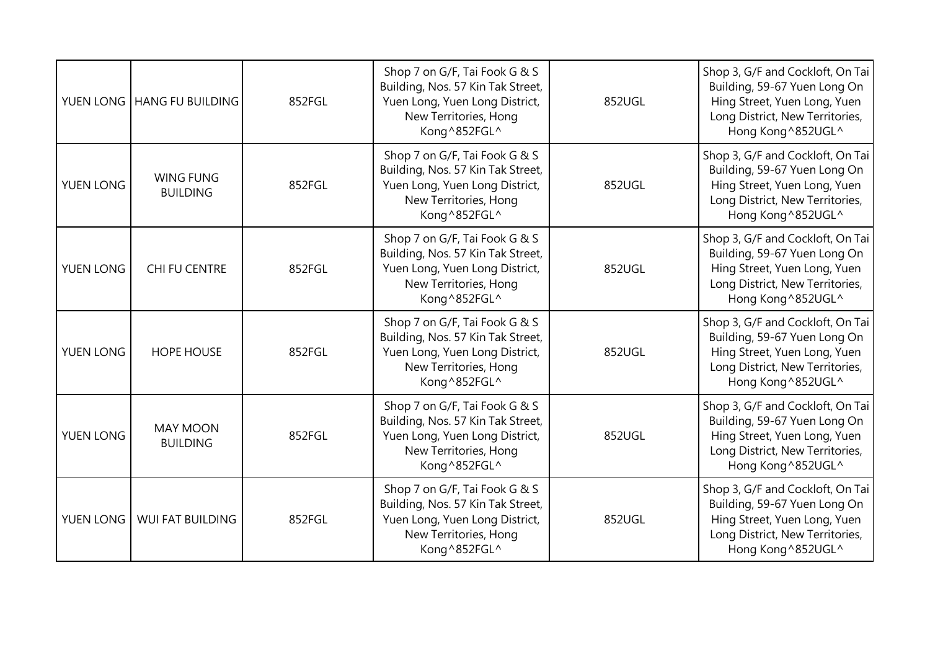|           | YUEN LONG HANG FU BUILDING          | 852FGL | Shop 7 on G/F, Tai Fook G & S<br>Building, Nos. 57 Kin Tak Street,<br>Yuen Long, Yuen Long District,<br>New Territories, Hong<br>Kong^852FGL^ | 852UGL | Shop 3, G/F and Cockloft, On Tai<br>Building, 59-67 Yuen Long On<br>Hing Street, Yuen Long, Yuen<br>Long District, New Territories,<br>Hong Kong ^852UGL^ |
|-----------|-------------------------------------|--------|-----------------------------------------------------------------------------------------------------------------------------------------------|--------|-----------------------------------------------------------------------------------------------------------------------------------------------------------|
| YUEN LONG | <b>WING FUNG</b><br><b>BUILDING</b> | 852FGL | Shop 7 on G/F, Tai Fook G & S<br>Building, Nos. 57 Kin Tak Street,<br>Yuen Long, Yuen Long District,<br>New Territories, Hong<br>Kong^852FGL^ | 852UGL | Shop 3, G/F and Cockloft, On Tai<br>Building, 59-67 Yuen Long On<br>Hing Street, Yuen Long, Yuen<br>Long District, New Territories,<br>Hong Kong ^852UGL^ |
| YUEN LONG | CHI FU CENTRE                       | 852FGL | Shop 7 on G/F, Tai Fook G & S<br>Building, Nos. 57 Kin Tak Street,<br>Yuen Long, Yuen Long District,<br>New Territories, Hong<br>Kong^852FGL^ | 852UGL | Shop 3, G/F and Cockloft, On Tai<br>Building, 59-67 Yuen Long On<br>Hing Street, Yuen Long, Yuen<br>Long District, New Territories,<br>Hong Kong ^852UGL^ |
| YUEN LONG | <b>HOPE HOUSE</b>                   | 852FGL | Shop 7 on G/F, Tai Fook G & S<br>Building, Nos. 57 Kin Tak Street,<br>Yuen Long, Yuen Long District,<br>New Territories, Hong<br>Kong^852FGL^ | 852UGL | Shop 3, G/F and Cockloft, On Tai<br>Building, 59-67 Yuen Long On<br>Hing Street, Yuen Long, Yuen<br>Long District, New Territories,<br>Hong Kong ^852UGL^ |
| YUEN LONG | <b>MAY MOON</b><br><b>BUILDING</b>  | 852FGL | Shop 7 on G/F, Tai Fook G & S<br>Building, Nos. 57 Kin Tak Street,<br>Yuen Long, Yuen Long District,<br>New Territories, Hong<br>Kong^852FGL^ | 852UGL | Shop 3, G/F and Cockloft, On Tai<br>Building, 59-67 Yuen Long On<br>Hing Street, Yuen Long, Yuen<br>Long District, New Territories,<br>Hong Kong ^852UGL^ |
| YUEN LONG | <b>WUI FAT BUILDING</b>             | 852FGL | Shop 7 on G/F, Tai Fook G & S<br>Building, Nos. 57 Kin Tak Street,<br>Yuen Long, Yuen Long District,<br>New Territories, Hong<br>Kong^852FGL^ | 852UGL | Shop 3, G/F and Cockloft, On Tai<br>Building, 59-67 Yuen Long On<br>Hing Street, Yuen Long, Yuen<br>Long District, New Territories,<br>Hong Kong ^852UGL^ |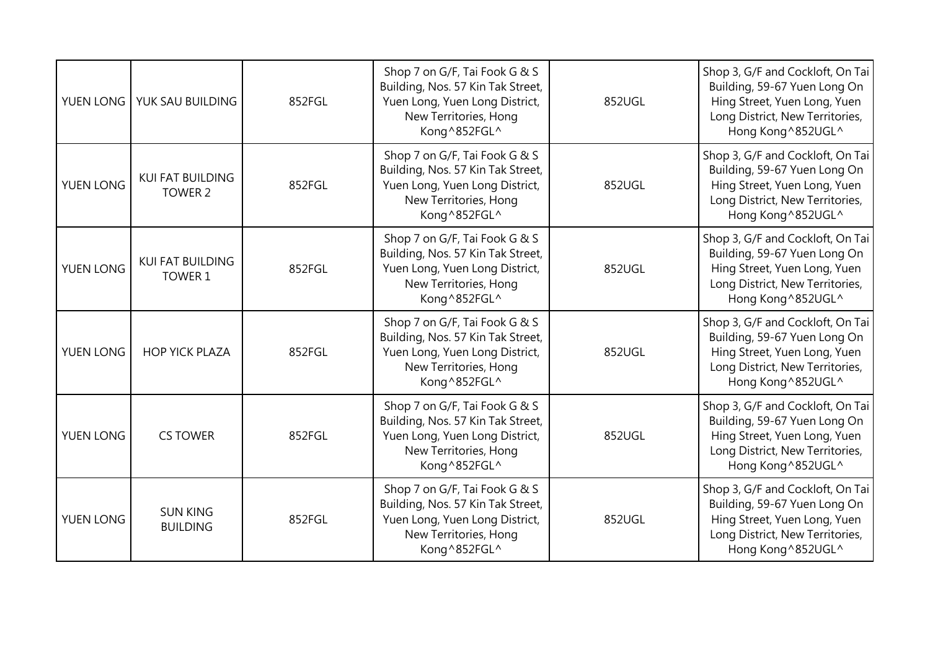| YUEN LONG | YUK SAU BUILDING                   | 852FGL | Shop 7 on G/F, Tai Fook G & S<br>Building, Nos. 57 Kin Tak Street,<br>Yuen Long, Yuen Long District,<br>New Territories, Hong<br>Kong^852FGL^ | 852UGL | Shop 3, G/F and Cockloft, On Tai<br>Building, 59-67 Yuen Long On<br>Hing Street, Yuen Long, Yuen<br>Long District, New Territories,<br>Hong Kong ^852UGL^ |
|-----------|------------------------------------|--------|-----------------------------------------------------------------------------------------------------------------------------------------------|--------|-----------------------------------------------------------------------------------------------------------------------------------------------------------|
| YUEN LONG | KUI FAT BUILDING<br>TOWER 2        | 852FGL | Shop 7 on G/F, Tai Fook G & S<br>Building, Nos. 57 Kin Tak Street,<br>Yuen Long, Yuen Long District,<br>New Territories, Hong<br>Kong^852FGL^ | 852UGL | Shop 3, G/F and Cockloft, On Tai<br>Building, 59-67 Yuen Long On<br>Hing Street, Yuen Long, Yuen<br>Long District, New Territories,<br>Hong Kong ^852UGL^ |
| YUEN LONG | <b>KUI FAT BUILDING</b><br>TOWER 1 | 852FGL | Shop 7 on G/F, Tai Fook G & S<br>Building, Nos. 57 Kin Tak Street,<br>Yuen Long, Yuen Long District,<br>New Territories, Hong<br>Kong^852FGL^ | 852UGL | Shop 3, G/F and Cockloft, On Tai<br>Building, 59-67 Yuen Long On<br>Hing Street, Yuen Long, Yuen<br>Long District, New Territories,<br>Hong Kong ^852UGL^ |
| YUEN LONG | <b>HOP YICK PLAZA</b>              | 852FGL | Shop 7 on G/F, Tai Fook G & S<br>Building, Nos. 57 Kin Tak Street,<br>Yuen Long, Yuen Long District,<br>New Territories, Hong<br>Kong^852FGL^ | 852UGL | Shop 3, G/F and Cockloft, On Tai<br>Building, 59-67 Yuen Long On<br>Hing Street, Yuen Long, Yuen<br>Long District, New Territories,<br>Hong Kong ^852UGL^ |
| YUEN LONG | <b>CS TOWER</b>                    | 852FGL | Shop 7 on G/F, Tai Fook G & S<br>Building, Nos. 57 Kin Tak Street,<br>Yuen Long, Yuen Long District,<br>New Territories, Hong<br>Kong^852FGL^ | 852UGL | Shop 3, G/F and Cockloft, On Tai<br>Building, 59-67 Yuen Long On<br>Hing Street, Yuen Long, Yuen<br>Long District, New Territories,<br>Hong Kong ^852UGL^ |
| YUEN LONG | <b>SUN KING</b><br><b>BUILDING</b> | 852FGL | Shop 7 on G/F, Tai Fook G & S<br>Building, Nos. 57 Kin Tak Street,<br>Yuen Long, Yuen Long District,<br>New Territories, Hong<br>Kong^852FGL^ | 852UGL | Shop 3, G/F and Cockloft, On Tai<br>Building, 59-67 Yuen Long On<br>Hing Street, Yuen Long, Yuen<br>Long District, New Territories,<br>Hong Kong ^852UGL^ |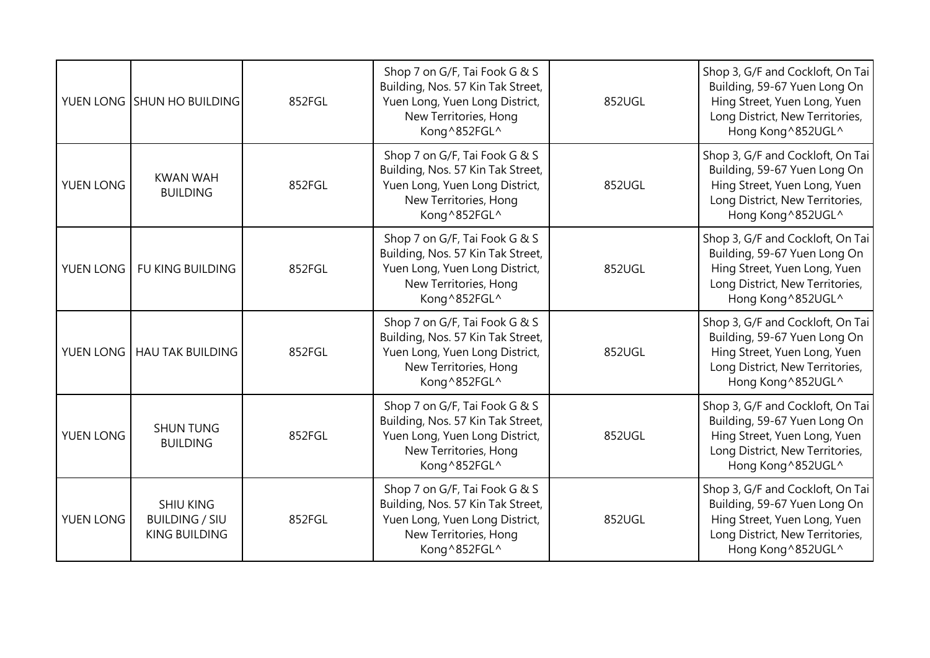|           | YUEN LONG SHUN HO BUILDING                                        | 852FGL | Shop 7 on G/F, Tai Fook G & S<br>Building, Nos. 57 Kin Tak Street,<br>Yuen Long, Yuen Long District,<br>New Territories, Hong<br>Kong^852FGL^ | 852UGL | Shop 3, G/F and Cockloft, On Tai<br>Building, 59-67 Yuen Long On<br>Hing Street, Yuen Long, Yuen<br>Long District, New Territories,<br>Hong Kong ^852UGL^ |
|-----------|-------------------------------------------------------------------|--------|-----------------------------------------------------------------------------------------------------------------------------------------------|--------|-----------------------------------------------------------------------------------------------------------------------------------------------------------|
| YUEN LONG | <b>KWAN WAH</b><br><b>BUILDING</b>                                | 852FGL | Shop 7 on G/F, Tai Fook G & S<br>Building, Nos. 57 Kin Tak Street,<br>Yuen Long, Yuen Long District,<br>New Territories, Hong<br>Kong^852FGL^ | 852UGL | Shop 3, G/F and Cockloft, On Tai<br>Building, 59-67 Yuen Long On<br>Hing Street, Yuen Long, Yuen<br>Long District, New Territories,<br>Hong Kong ^852UGL^ |
| YUEN LONG | <b>FU KING BUILDING</b>                                           | 852FGL | Shop 7 on G/F, Tai Fook G & S<br>Building, Nos. 57 Kin Tak Street,<br>Yuen Long, Yuen Long District,<br>New Territories, Hong<br>Kong^852FGL^ | 852UGL | Shop 3, G/F and Cockloft, On Tai<br>Building, 59-67 Yuen Long On<br>Hing Street, Yuen Long, Yuen<br>Long District, New Territories,<br>Hong Kong ^852UGL^ |
| YUEN LONG | <b>HAU TAK BUILDING</b>                                           | 852FGL | Shop 7 on G/F, Tai Fook G & S<br>Building, Nos. 57 Kin Tak Street,<br>Yuen Long, Yuen Long District,<br>New Territories, Hong<br>Kong^852FGL^ | 852UGL | Shop 3, G/F and Cockloft, On Tai<br>Building, 59-67 Yuen Long On<br>Hing Street, Yuen Long, Yuen<br>Long District, New Territories,<br>Hong Kong ^852UGL^ |
| YUEN LONG | <b>SHUN TUNG</b><br><b>BUILDING</b>                               | 852FGL | Shop 7 on G/F, Tai Fook G & S<br>Building, Nos. 57 Kin Tak Street,<br>Yuen Long, Yuen Long District,<br>New Territories, Hong<br>Kong^852FGL^ | 852UGL | Shop 3, G/F and Cockloft, On Tai<br>Building, 59-67 Yuen Long On<br>Hing Street, Yuen Long, Yuen<br>Long District, New Territories,<br>Hong Kong ^852UGL^ |
| YUEN LONG | <b>SHIU KING</b><br><b>BUILDING / SIU</b><br><b>KING BUILDING</b> | 852FGL | Shop 7 on G/F, Tai Fook G & S<br>Building, Nos. 57 Kin Tak Street,<br>Yuen Long, Yuen Long District,<br>New Territories, Hong<br>Kong^852FGL^ | 852UGL | Shop 3, G/F and Cockloft, On Tai<br>Building, 59-67 Yuen Long On<br>Hing Street, Yuen Long, Yuen<br>Long District, New Territories,<br>Hong Kong ^852UGL^ |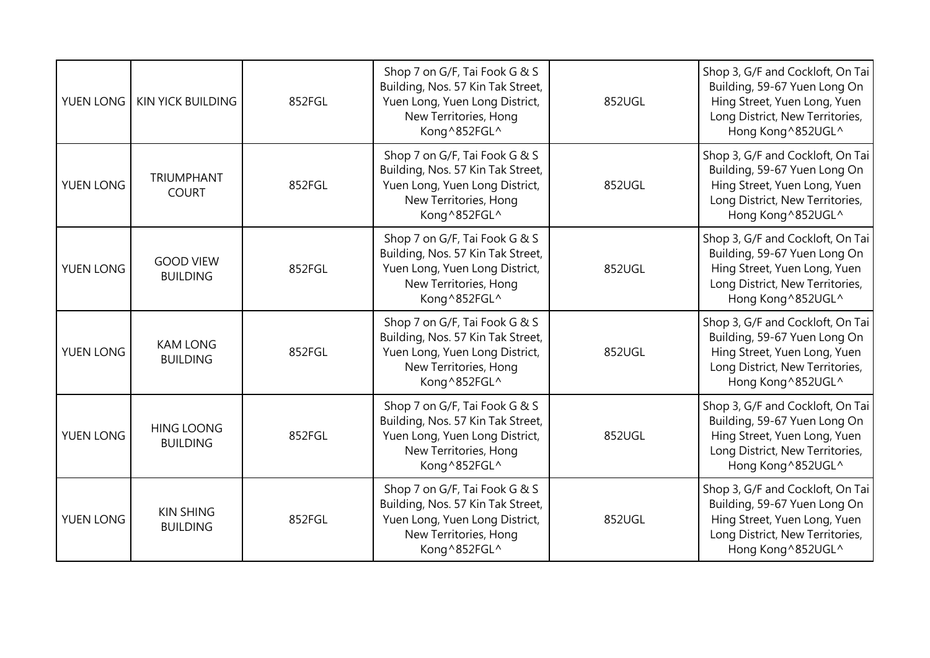| YUEN LONG | <b>KIN YICK BUILDING</b>             | 852FGL | Shop 7 on G/F, Tai Fook G & S<br>Building, Nos. 57 Kin Tak Street,<br>Yuen Long, Yuen Long District,<br>New Territories, Hong<br>Kong^852FGL^ | 852UGL | Shop 3, G/F and Cockloft, On Tai<br>Building, 59-67 Yuen Long On<br>Hing Street, Yuen Long, Yuen<br>Long District, New Territories,<br>Hong Kong ^852UGL^ |
|-----------|--------------------------------------|--------|-----------------------------------------------------------------------------------------------------------------------------------------------|--------|-----------------------------------------------------------------------------------------------------------------------------------------------------------|
| YUEN LONG | <b>TRIUMPHANT</b><br><b>COURT</b>    | 852FGL | Shop 7 on G/F, Tai Fook G & S<br>Building, Nos. 57 Kin Tak Street,<br>Yuen Long, Yuen Long District,<br>New Territories, Hong<br>Kong^852FGL^ | 852UGL | Shop 3, G/F and Cockloft, On Tai<br>Building, 59-67 Yuen Long On<br>Hing Street, Yuen Long, Yuen<br>Long District, New Territories,<br>Hong Kong ^852UGL^ |
| YUEN LONG | <b>GOOD VIEW</b><br><b>BUILDING</b>  | 852FGL | Shop 7 on G/F, Tai Fook G & S<br>Building, Nos. 57 Kin Tak Street,<br>Yuen Long, Yuen Long District,<br>New Territories, Hong<br>Kong^852FGL^ | 852UGL | Shop 3, G/F and Cockloft, On Tai<br>Building, 59-67 Yuen Long On<br>Hing Street, Yuen Long, Yuen<br>Long District, New Territories,<br>Hong Kong ^852UGL^ |
| YUEN LONG | <b>KAM LONG</b><br><b>BUILDING</b>   | 852FGL | Shop 7 on G/F, Tai Fook G & S<br>Building, Nos. 57 Kin Tak Street,<br>Yuen Long, Yuen Long District,<br>New Territories, Hong<br>Kong^852FGL^ | 852UGL | Shop 3, G/F and Cockloft, On Tai<br>Building, 59-67 Yuen Long On<br>Hing Street, Yuen Long, Yuen<br>Long District, New Territories,<br>Hong Kong ^852UGL^ |
| YUEN LONG | <b>HING LOONG</b><br><b>BUILDING</b> | 852FGL | Shop 7 on G/F, Tai Fook G & S<br>Building, Nos. 57 Kin Tak Street,<br>Yuen Long, Yuen Long District,<br>New Territories, Hong<br>Kong^852FGL^ | 852UGL | Shop 3, G/F and Cockloft, On Tai<br>Building, 59-67 Yuen Long On<br>Hing Street, Yuen Long, Yuen<br>Long District, New Territories,<br>Hong Kong ^852UGL^ |
| YUEN LONG | <b>KIN SHING</b><br><b>BUILDING</b>  | 852FGL | Shop 7 on G/F, Tai Fook G & S<br>Building, Nos. 57 Kin Tak Street,<br>Yuen Long, Yuen Long District,<br>New Territories, Hong<br>Kong^852FGL^ | 852UGL | Shop 3, G/F and Cockloft, On Tai<br>Building, 59-67 Yuen Long On<br>Hing Street, Yuen Long, Yuen<br>Long District, New Territories,<br>Hong Kong ^852UGL^ |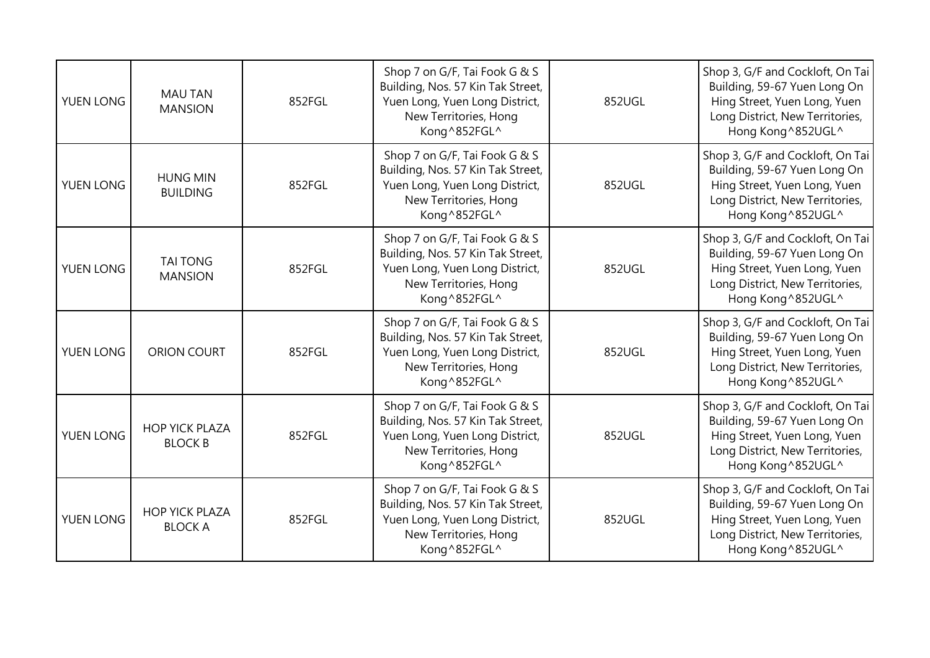| YUEN LONG | <b>MAU TAN</b><br><b>MANSION</b>        | 852FGL | Shop 7 on G/F, Tai Fook G & S<br>Building, Nos. 57 Kin Tak Street,<br>Yuen Long, Yuen Long District,<br>New Territories, Hong<br>Kong^852FGL^ | 852UGL | Shop 3, G/F and Cockloft, On Tai<br>Building, 59-67 Yuen Long On<br>Hing Street, Yuen Long, Yuen<br>Long District, New Territories,<br>Hong Kong ^852UGL^ |
|-----------|-----------------------------------------|--------|-----------------------------------------------------------------------------------------------------------------------------------------------|--------|-----------------------------------------------------------------------------------------------------------------------------------------------------------|
| YUEN LONG | <b>HUNG MIN</b><br><b>BUILDING</b>      | 852FGL | Shop 7 on G/F, Tai Fook G & S<br>Building, Nos. 57 Kin Tak Street,<br>Yuen Long, Yuen Long District,<br>New Territories, Hong<br>Kong^852FGL^ | 852UGL | Shop 3, G/F and Cockloft, On Tai<br>Building, 59-67 Yuen Long On<br>Hing Street, Yuen Long, Yuen<br>Long District, New Territories,<br>Hong Kong ^852UGL^ |
| YUEN LONG | <b>TAI TONG</b><br><b>MANSION</b>       | 852FGL | Shop 7 on G/F, Tai Fook G & S<br>Building, Nos. 57 Kin Tak Street,<br>Yuen Long, Yuen Long District,<br>New Territories, Hong<br>Kong^852FGL^ | 852UGL | Shop 3, G/F and Cockloft, On Tai<br>Building, 59-67 Yuen Long On<br>Hing Street, Yuen Long, Yuen<br>Long District, New Territories,<br>Hong Kong ^852UGL^ |
| YUEN LONG | <b>ORION COURT</b>                      | 852FGL | Shop 7 on G/F, Tai Fook G & S<br>Building, Nos. 57 Kin Tak Street,<br>Yuen Long, Yuen Long District,<br>New Territories, Hong<br>Kong^852FGL^ | 852UGL | Shop 3, G/F and Cockloft, On Tai<br>Building, 59-67 Yuen Long On<br>Hing Street, Yuen Long, Yuen<br>Long District, New Territories,<br>Hong Kong ^852UGL^ |
| YUEN LONG | <b>HOP YICK PLAZA</b><br><b>BLOCK B</b> | 852FGL | Shop 7 on G/F, Tai Fook G & S<br>Building, Nos. 57 Kin Tak Street,<br>Yuen Long, Yuen Long District,<br>New Territories, Hong<br>Kong^852FGL^ | 852UGL | Shop 3, G/F and Cockloft, On Tai<br>Building, 59-67 Yuen Long On<br>Hing Street, Yuen Long, Yuen<br>Long District, New Territories,<br>Hong Kong ^852UGL^ |
| YUEN LONG | <b>HOP YICK PLAZA</b><br><b>BLOCK A</b> | 852FGL | Shop 7 on G/F, Tai Fook G & S<br>Building, Nos. 57 Kin Tak Street,<br>Yuen Long, Yuen Long District,<br>New Territories, Hong<br>Kong^852FGL^ | 852UGL | Shop 3, G/F and Cockloft, On Tai<br>Building, 59-67 Yuen Long On<br>Hing Street, Yuen Long, Yuen<br>Long District, New Territories,<br>Hong Kong ^852UGL^ |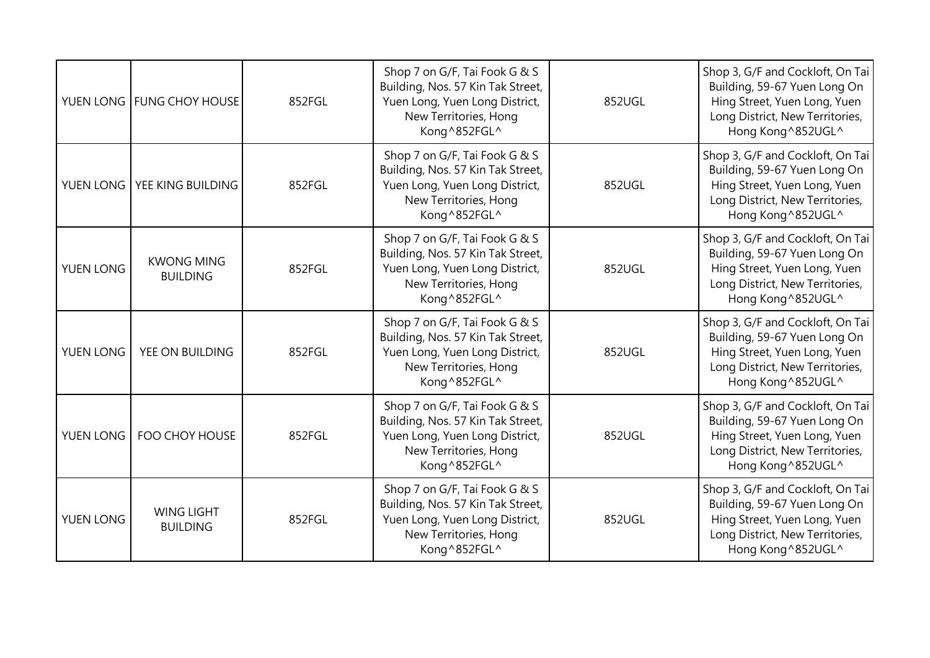|                  | YUEN LONG   FUNG CHOY HOUSE          | 852FGL | Shop 7 on G/F, Tai Fook G & S<br>Building, Nos. 57 Kin Tak Street,<br>Yuen Long, Yuen Long District,<br>New Territories, Hong<br>Kong^852FGL^ | 852UGL | Shop 3, G/F and Cockloft, On Tai<br>Building, 59-67 Yuen Long On<br>Hing Street, Yuen Long, Yuen<br>Long District, New Territories,<br>Hong Kong ^852UGL^ |
|------------------|--------------------------------------|--------|-----------------------------------------------------------------------------------------------------------------------------------------------|--------|-----------------------------------------------------------------------------------------------------------------------------------------------------------|
|                  | YUEN LONG   YEE KING BUILDING        | 852FGL | Shop 7 on G/F, Tai Fook G & S<br>Building, Nos. 57 Kin Tak Street,<br>Yuen Long, Yuen Long District,<br>New Territories, Hong<br>Kong^852FGL^ | 852UGL | Shop 3, G/F and Cockloft, On Tai<br>Building, 59-67 Yuen Long On<br>Hing Street, Yuen Long, Yuen<br>Long District, New Territories,<br>Hong Kong ^852UGL^ |
| YUEN LONG        | <b>KWONG MING</b><br><b>BUILDING</b> | 852FGL | Shop 7 on G/F, Tai Fook G & S<br>Building, Nos. 57 Kin Tak Street,<br>Yuen Long, Yuen Long District,<br>New Territories, Hong<br>Kong^852FGL^ | 852UGL | Shop 3, G/F and Cockloft, On Tai<br>Building, 59-67 Yuen Long On<br>Hing Street, Yuen Long, Yuen<br>Long District, New Territories,<br>Hong Kong ^852UGL^ |
| <b>YUEN LONG</b> | YEE ON BUILDING                      | 852FGL | Shop 7 on G/F, Tai Fook G & S<br>Building, Nos. 57 Kin Tak Street,<br>Yuen Long, Yuen Long District,<br>New Territories, Hong<br>Kong^852FGL^ | 852UGL | Shop 3, G/F and Cockloft, On Tai<br>Building, 59-67 Yuen Long On<br>Hing Street, Yuen Long, Yuen<br>Long District, New Territories,<br>Hong Kong ^852UGL^ |
| YUEN LONG        | FOO CHOY HOUSE                       | 852FGL | Shop 7 on G/F, Tai Fook G & S<br>Building, Nos. 57 Kin Tak Street,<br>Yuen Long, Yuen Long District,<br>New Territories, Hong<br>Kong^852FGL^ | 852UGL | Shop 3, G/F and Cockloft, On Tai<br>Building, 59-67 Yuen Long On<br>Hing Street, Yuen Long, Yuen<br>Long District, New Territories,<br>Hong Kong ^852UGL^ |
| YUEN LONG        | <b>WING LIGHT</b><br><b>BUILDING</b> | 852FGL | Shop 7 on G/F, Tai Fook G & S<br>Building, Nos. 57 Kin Tak Street,<br>Yuen Long, Yuen Long District,<br>New Territories, Hong<br>Kong^852FGL^ | 852UGL | Shop 3, G/F and Cockloft, On Tai<br>Building, 59-67 Yuen Long On<br>Hing Street, Yuen Long, Yuen<br>Long District, New Territories,<br>Hong Kong ^852UGL^ |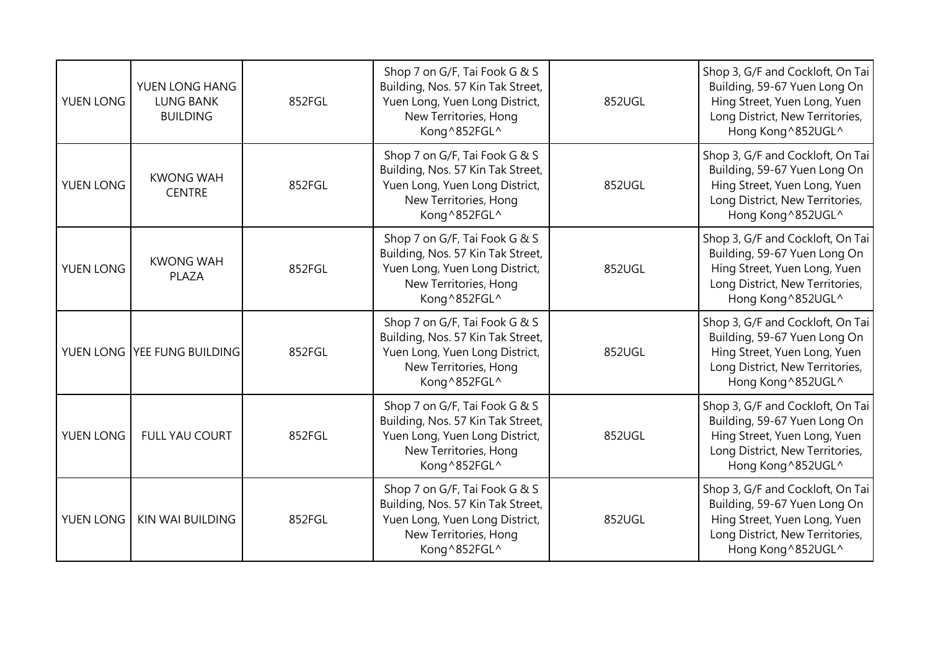| YUEN LONG | YUEN LONG HANG<br><b>LUNG BANK</b><br><b>BUILDING</b> | 852FGL | Shop 7 on G/F, Tai Fook G & S<br>Building, Nos. 57 Kin Tak Street,<br>Yuen Long, Yuen Long District,<br>New Territories, Hong<br>Kong^852FGL^ | 852UGL | Shop 3, G/F and Cockloft, On Tai<br>Building, 59-67 Yuen Long On<br>Hing Street, Yuen Long, Yuen<br>Long District, New Territories,<br>Hong Kong ^852UGL^ |
|-----------|-------------------------------------------------------|--------|-----------------------------------------------------------------------------------------------------------------------------------------------|--------|-----------------------------------------------------------------------------------------------------------------------------------------------------------|
| YUEN LONG | <b>KWONG WAH</b><br><b>CENTRE</b>                     | 852FGL | Shop 7 on G/F, Tai Fook G & S<br>Building, Nos. 57 Kin Tak Street,<br>Yuen Long, Yuen Long District,<br>New Territories, Hong<br>Kong^852FGL^ | 852UGL | Shop 3, G/F and Cockloft, On Tai<br>Building, 59-67 Yuen Long On<br>Hing Street, Yuen Long, Yuen<br>Long District, New Territories,<br>Hong Kong ^852UGL^ |
| YUEN LONG | <b>KWONG WAH</b><br>PLAZA                             | 852FGL | Shop 7 on G/F, Tai Fook G & S<br>Building, Nos. 57 Kin Tak Street,<br>Yuen Long, Yuen Long District,<br>New Territories, Hong<br>Kong^852FGL^ | 852UGL | Shop 3, G/F and Cockloft, On Tai<br>Building, 59-67 Yuen Long On<br>Hing Street, Yuen Long, Yuen<br>Long District, New Territories,<br>Hong Kong ^852UGL^ |
|           | YUEN LONG YEE FUNG BUILDING                           | 852FGL | Shop 7 on G/F, Tai Fook G & S<br>Building, Nos. 57 Kin Tak Street,<br>Yuen Long, Yuen Long District,<br>New Territories, Hong<br>Kong^852FGL^ | 852UGL | Shop 3, G/F and Cockloft, On Tai<br>Building, 59-67 Yuen Long On<br>Hing Street, Yuen Long, Yuen<br>Long District, New Territories,<br>Hong Kong ^852UGL^ |
| YUEN LONG | FULL YAU COURT                                        | 852FGL | Shop 7 on G/F, Tai Fook G & S<br>Building, Nos. 57 Kin Tak Street,<br>Yuen Long, Yuen Long District,<br>New Territories, Hong<br>Kong^852FGL^ | 852UGL | Shop 3, G/F and Cockloft, On Tai<br>Building, 59-67 Yuen Long On<br>Hing Street, Yuen Long, Yuen<br>Long District, New Territories,<br>Hong Kong ^852UGL^ |
| YUEN LONG | <b>KIN WAI BUILDING</b>                               | 852FGL | Shop 7 on G/F, Tai Fook G & S<br>Building, Nos. 57 Kin Tak Street,<br>Yuen Long, Yuen Long District,<br>New Territories, Hong<br>Kong^852FGL^ | 852UGL | Shop 3, G/F and Cockloft, On Tai<br>Building, 59-67 Yuen Long On<br>Hing Street, Yuen Long, Yuen<br>Long District, New Territories,<br>Hong Kong ^852UGL^ |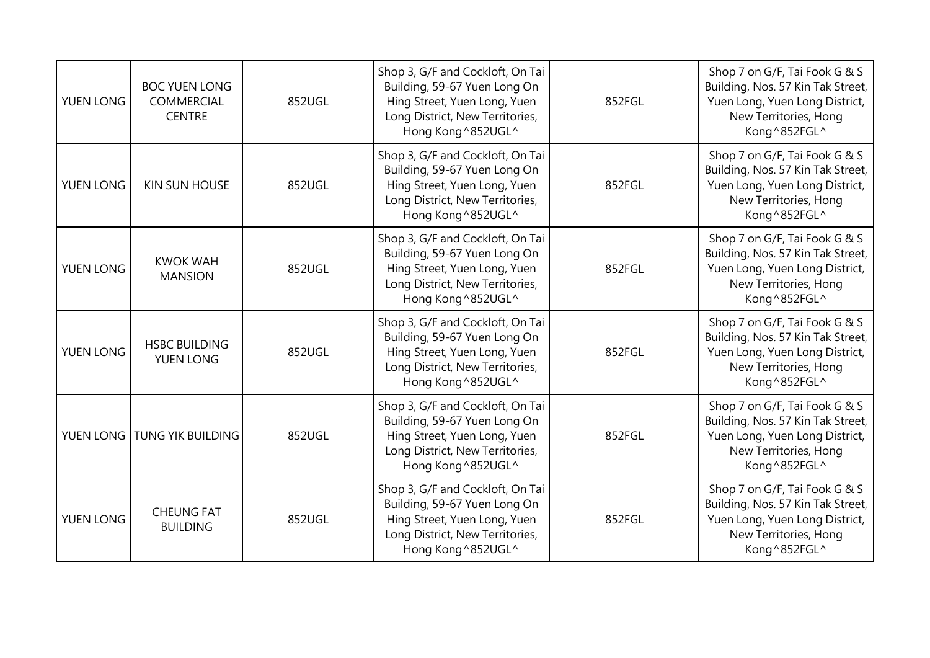| YUEN LONG | <b>BOC YUEN LONG</b><br><b>COMMERCIAL</b><br><b>CENTRE</b> | 852UGL | Shop 3, G/F and Cockloft, On Tai<br>Building, 59-67 Yuen Long On<br>Hing Street, Yuen Long, Yuen<br>Long District, New Territories,<br>Hong Kong^852UGL^  | 852FGL | Shop 7 on G/F, Tai Fook G & S<br>Building, Nos. 57 Kin Tak Street,<br>Yuen Long, Yuen Long District,<br>New Territories, Hong<br>Kong^852FGL^  |
|-----------|------------------------------------------------------------|--------|-----------------------------------------------------------------------------------------------------------------------------------------------------------|--------|------------------------------------------------------------------------------------------------------------------------------------------------|
| YUEN LONG | <b>KIN SUN HOUSE</b>                                       | 852UGL | Shop 3, G/F and Cockloft, On Tai<br>Building, 59-67 Yuen Long On<br>Hing Street, Yuen Long, Yuen<br>Long District, New Territories,<br>Hong Kong^852UGL^  | 852FGL | Shop 7 on G/F, Tai Fook G & S<br>Building, Nos. 57 Kin Tak Street,<br>Yuen Long, Yuen Long District,<br>New Territories, Hong<br>Kong^852FGL^  |
| YUEN LONG | <b>KWOK WAH</b><br><b>MANSION</b>                          | 852UGL | Shop 3, G/F and Cockloft, On Tai<br>Building, 59-67 Yuen Long On<br>Hing Street, Yuen Long, Yuen<br>Long District, New Territories,<br>Hong Kong^852UGL^  | 852FGL | Shop 7 on G/F, Tai Fook G & S<br>Building, Nos. 57 Kin Tak Street,<br>Yuen Long, Yuen Long District,<br>New Territories, Hong<br>Kong^852FGL^  |
| YUEN LONG | <b>HSBC BUILDING</b><br><b>YUEN LONG</b>                   | 852UGL | Shop 3, G/F and Cockloft, On Tai<br>Building, 59-67 Yuen Long On<br>Hing Street, Yuen Long, Yuen<br>Long District, New Territories,<br>Hong Kong ^852UGL^ | 852FGL | Shop 7 on G/F, Tai Fook G & S<br>Building, Nos. 57 Kin Tak Street,<br>Yuen Long, Yuen Long District,<br>New Territories, Hong<br>Kong^852FGL^  |
| YUEN LONG | <b>TUNG YIK BUILDING</b>                                   | 852UGL | Shop 3, G/F and Cockloft, On Tai<br>Building, 59-67 Yuen Long On<br>Hing Street, Yuen Long, Yuen<br>Long District, New Territories,<br>Hong Kong ^852UGL^ | 852FGL | Shop 7 on G/F, Tai Fook G & S<br>Building, Nos. 57 Kin Tak Street,<br>Yuen Long, Yuen Long District,<br>New Territories, Hong<br>Kong ^852FGL^ |
| YUEN LONG | <b>CHEUNG FAT</b><br><b>BUILDING</b>                       | 852UGL | Shop 3, G/F and Cockloft, On Tai<br>Building, 59-67 Yuen Long On<br>Hing Street, Yuen Long, Yuen<br>Long District, New Territories,<br>Hong Kong ^852UGL^ | 852FGL | Shop 7 on G/F, Tai Fook G & S<br>Building, Nos. 57 Kin Tak Street,<br>Yuen Long, Yuen Long District,<br>New Territories, Hong<br>Kong^852FGL^  |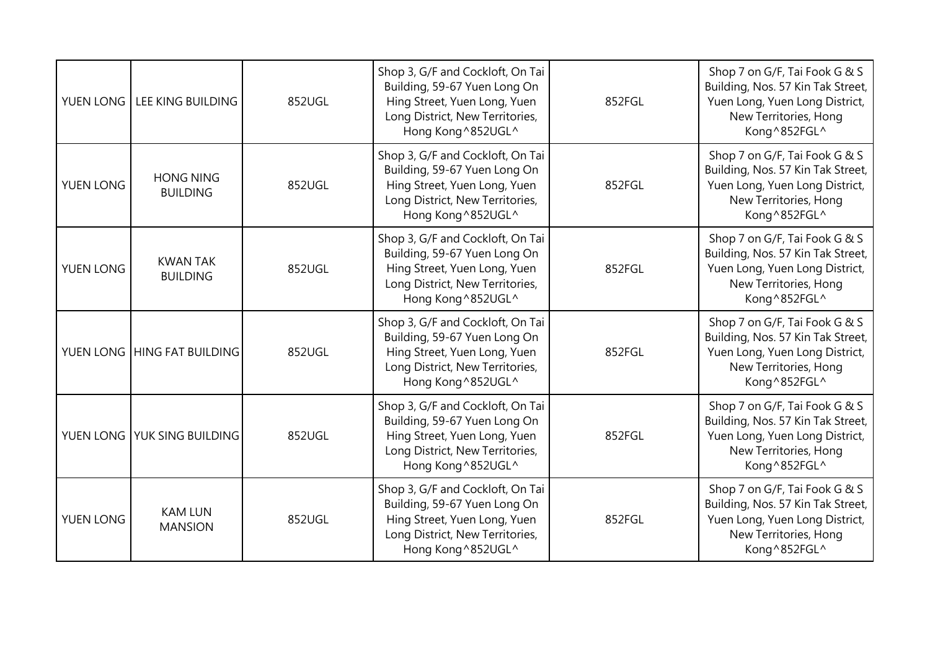| YUEN LONG | LEE KING BUILDING                   | 852UGL | Shop 3, G/F and Cockloft, On Tai<br>Building, 59-67 Yuen Long On<br>Hing Street, Yuen Long, Yuen<br>Long District, New Territories,<br>Hong Kong^852UGL^  | 852FGL | Shop 7 on G/F, Tai Fook G & S<br>Building, Nos. 57 Kin Tak Street,<br>Yuen Long, Yuen Long District,<br>New Territories, Hong<br>Kong ^852FGL^ |
|-----------|-------------------------------------|--------|-----------------------------------------------------------------------------------------------------------------------------------------------------------|--------|------------------------------------------------------------------------------------------------------------------------------------------------|
| YUEN LONG | <b>HONG NING</b><br><b>BUILDING</b> | 852UGL | Shop 3, G/F and Cockloft, On Tai<br>Building, 59-67 Yuen Long On<br>Hing Street, Yuen Long, Yuen<br>Long District, New Territories,<br>Hong Kong^852UGL^  | 852FGL | Shop 7 on G/F, Tai Fook G & S<br>Building, Nos. 57 Kin Tak Street,<br>Yuen Long, Yuen Long District,<br>New Territories, Hong<br>Kong ^852FGL^ |
| YUEN LONG | <b>KWAN TAK</b><br><b>BUILDING</b>  | 852UGL | Shop 3, G/F and Cockloft, On Tai<br>Building, 59-67 Yuen Long On<br>Hing Street, Yuen Long, Yuen<br>Long District, New Territories,<br>Hong Kong^852UGL^  | 852FGL | Shop 7 on G/F, Tai Fook G & S<br>Building, Nos. 57 Kin Tak Street,<br>Yuen Long, Yuen Long District,<br>New Territories, Hong<br>Kong^852FGL^  |
|           | YUEN LONG HING FAT BUILDING         | 852UGL | Shop 3, G/F and Cockloft, On Tai<br>Building, 59-67 Yuen Long On<br>Hing Street, Yuen Long, Yuen<br>Long District, New Territories,<br>Hong Kong ^852UGL^ | 852FGL | Shop 7 on G/F, Tai Fook G & S<br>Building, Nos. 57 Kin Tak Street,<br>Yuen Long, Yuen Long District,<br>New Territories, Hong<br>Kong^852FGL^  |
|           | YUEN LONG YUK SING BUILDING         | 852UGL | Shop 3, G/F and Cockloft, On Tai<br>Building, 59-67 Yuen Long On<br>Hing Street, Yuen Long, Yuen<br>Long District, New Territories,<br>Hong Kong^852UGL^  | 852FGL | Shop 7 on G/F, Tai Fook G & S<br>Building, Nos. 57 Kin Tak Street,<br>Yuen Long, Yuen Long District,<br>New Territories, Hong<br>Kong ^852FGL^ |
| YUEN LONG | <b>KAM LUN</b><br><b>MANSION</b>    | 852UGL | Shop 3, G/F and Cockloft, On Tai<br>Building, 59-67 Yuen Long On<br>Hing Street, Yuen Long, Yuen<br>Long District, New Territories,<br>Hong Kong^852UGL^  | 852FGL | Shop 7 on G/F, Tai Fook G & S<br>Building, Nos. 57 Kin Tak Street,<br>Yuen Long, Yuen Long District,<br>New Territories, Hong<br>Kong^852FGL^  |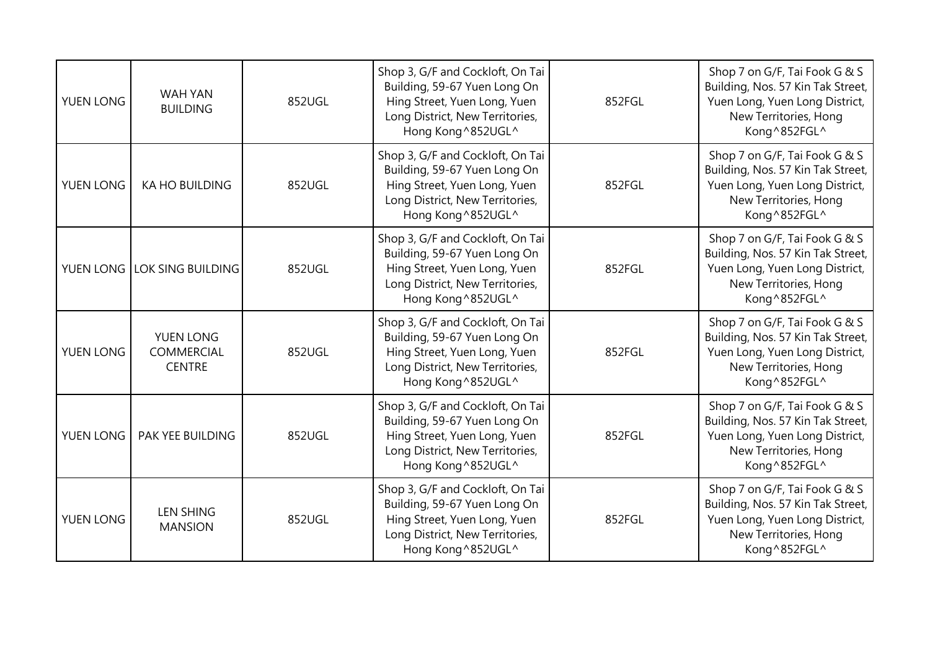| YUEN LONG | WAH YAN<br><b>BUILDING</b>               | 852UGL | Shop 3, G/F and Cockloft, On Tai<br>Building, 59-67 Yuen Long On<br>Hing Street, Yuen Long, Yuen<br>Long District, New Territories,<br>Hong Kong^852UGL^  | 852FGL | Shop 7 on G/F, Tai Fook G & S<br>Building, Nos. 57 Kin Tak Street,<br>Yuen Long, Yuen Long District,<br>New Territories, Hong<br>Kong ^852FGL^ |
|-----------|------------------------------------------|--------|-----------------------------------------------------------------------------------------------------------------------------------------------------------|--------|------------------------------------------------------------------------------------------------------------------------------------------------|
| YUEN LONG | <b>KA HO BUILDING</b>                    | 852UGL | Shop 3, G/F and Cockloft, On Tai<br>Building, 59-67 Yuen Long On<br>Hing Street, Yuen Long, Yuen<br>Long District, New Territories,<br>Hong Kong^852UGL^  | 852FGL | Shop 7 on G/F, Tai Fook G & S<br>Building, Nos. 57 Kin Tak Street,<br>Yuen Long, Yuen Long District,<br>New Territories, Hong<br>Kong ^852FGL^ |
|           | YUEN LONG LOK SING BUILDING              | 852UGL | Shop 3, G/F and Cockloft, On Tai<br>Building, 59-67 Yuen Long On<br>Hing Street, Yuen Long, Yuen<br>Long District, New Territories,<br>Hong Kong^852UGL^  | 852FGL | Shop 7 on G/F, Tai Fook G & S<br>Building, Nos. 57 Kin Tak Street,<br>Yuen Long, Yuen Long District,<br>New Territories, Hong<br>Kong^852FGL^  |
| YUEN LONG | YUEN LONG<br>COMMERCIAL<br><b>CENTRE</b> | 852UGL | Shop 3, G/F and Cockloft, On Tai<br>Building, 59-67 Yuen Long On<br>Hing Street, Yuen Long, Yuen<br>Long District, New Territories,<br>Hong Kong ^852UGL^ | 852FGL | Shop 7 on G/F, Tai Fook G & S<br>Building, Nos. 57 Kin Tak Street,<br>Yuen Long, Yuen Long District,<br>New Territories, Hong<br>Kong^852FGL^  |
| YUEN LONG | PAK YEE BUILDING                         | 852UGL | Shop 3, G/F and Cockloft, On Tai<br>Building, 59-67 Yuen Long On<br>Hing Street, Yuen Long, Yuen<br>Long District, New Territories,<br>Hong Kong^852UGL^  | 852FGL | Shop 7 on G/F, Tai Fook G & S<br>Building, Nos. 57 Kin Tak Street,<br>Yuen Long, Yuen Long District,<br>New Territories, Hong<br>Kong ^852FGL^ |
| YUEN LONG | <b>LEN SHING</b><br><b>MANSION</b>       | 852UGL | Shop 3, G/F and Cockloft, On Tai<br>Building, 59-67 Yuen Long On<br>Hing Street, Yuen Long, Yuen<br>Long District, New Territories,<br>Hong Kong^852UGL^  | 852FGL | Shop 7 on G/F, Tai Fook G & S<br>Building, Nos. 57 Kin Tak Street,<br>Yuen Long, Yuen Long District,<br>New Territories, Hong<br>Kong^852FGL^  |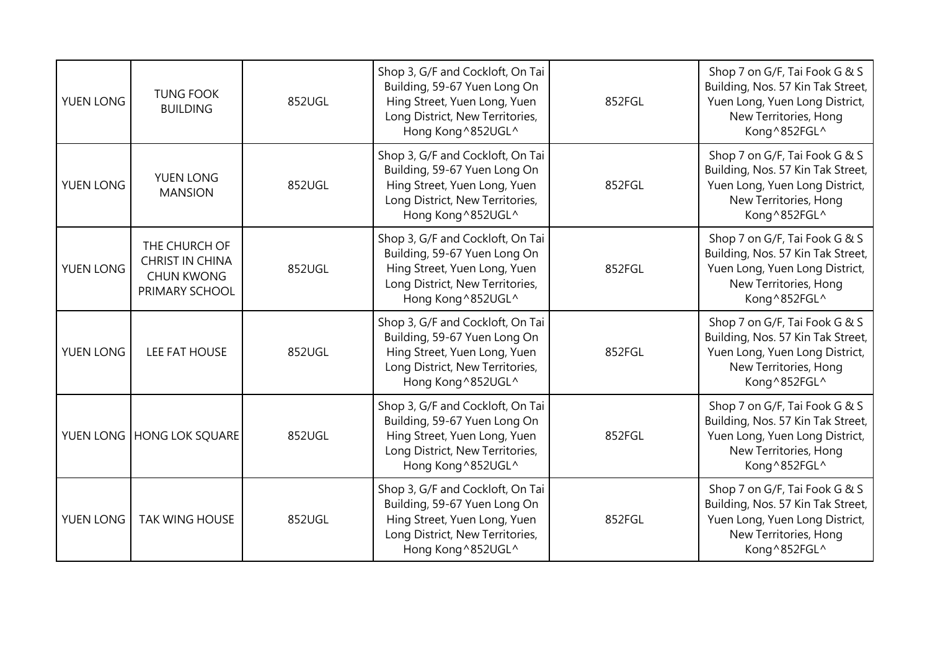| <b>YUEN LONG</b> | <b>TUNG FOOK</b><br><b>BUILDING</b>                                            | 852UGL | Shop 3, G/F and Cockloft, On Tai<br>Building, 59-67 Yuen Long On<br>Hing Street, Yuen Long, Yuen<br>Long District, New Territories,<br>Hong Kong^852UGL^ | 852FGL | Shop 7 on G/F, Tai Fook G & S<br>Building, Nos. 57 Kin Tak Street,<br>Yuen Long, Yuen Long District,<br>New Territories, Hong<br>Kong^852FGL^ |
|------------------|--------------------------------------------------------------------------------|--------|----------------------------------------------------------------------------------------------------------------------------------------------------------|--------|-----------------------------------------------------------------------------------------------------------------------------------------------|
| YUEN LONG        | YUEN LONG<br><b>MANSION</b>                                                    | 852UGL | Shop 3, G/F and Cockloft, On Tai<br>Building, 59-67 Yuen Long On<br>Hing Street, Yuen Long, Yuen<br>Long District, New Territories,<br>Hong Kong^852UGL^ | 852FGL | Shop 7 on G/F, Tai Fook G & S<br>Building, Nos. 57 Kin Tak Street,<br>Yuen Long, Yuen Long District,<br>New Territories, Hong<br>Kong^852FGL^ |
| YUEN LONG        | THE CHURCH OF<br><b>CHRIST IN CHINA</b><br><b>CHUN KWONG</b><br>PRIMARY SCHOOL | 852UGL | Shop 3, G/F and Cockloft, On Tai<br>Building, 59-67 Yuen Long On<br>Hing Street, Yuen Long, Yuen<br>Long District, New Territories,<br>Hong Kong^852UGL^ | 852FGL | Shop 7 on G/F, Tai Fook G & S<br>Building, Nos. 57 Kin Tak Street,<br>Yuen Long, Yuen Long District,<br>New Territories, Hong<br>Kong^852FGL^ |
| YUEN LONG        | LEE FAT HOUSE                                                                  | 852UGL | Shop 3, G/F and Cockloft, On Tai<br>Building, 59-67 Yuen Long On<br>Hing Street, Yuen Long, Yuen<br>Long District, New Territories,<br>Hong Kong^852UGL^ | 852FGL | Shop 7 on G/F, Tai Fook G & S<br>Building, Nos. 57 Kin Tak Street,<br>Yuen Long, Yuen Long District,<br>New Territories, Hong<br>Kong^852FGL^ |
|                  | YUEN LONG HONG LOK SQUARE                                                      | 852UGL | Shop 3, G/F and Cockloft, On Tai<br>Building, 59-67 Yuen Long On<br>Hing Street, Yuen Long, Yuen<br>Long District, New Territories,<br>Hong Kong^852UGL^ | 852FGL | Shop 7 on G/F, Tai Fook G & S<br>Building, Nos. 57 Kin Tak Street,<br>Yuen Long, Yuen Long District,<br>New Territories, Hong<br>Kong^852FGL^ |
| YUEN LONG        | <b>TAK WING HOUSE</b>                                                          | 852UGL | Shop 3, G/F and Cockloft, On Tai<br>Building, 59-67 Yuen Long On<br>Hing Street, Yuen Long, Yuen<br>Long District, New Territories,<br>Hong Kong^852UGL^ | 852FGL | Shop 7 on G/F, Tai Fook G & S<br>Building, Nos. 57 Kin Tak Street,<br>Yuen Long, Yuen Long District,<br>New Territories, Hong<br>Kong^852FGL^ |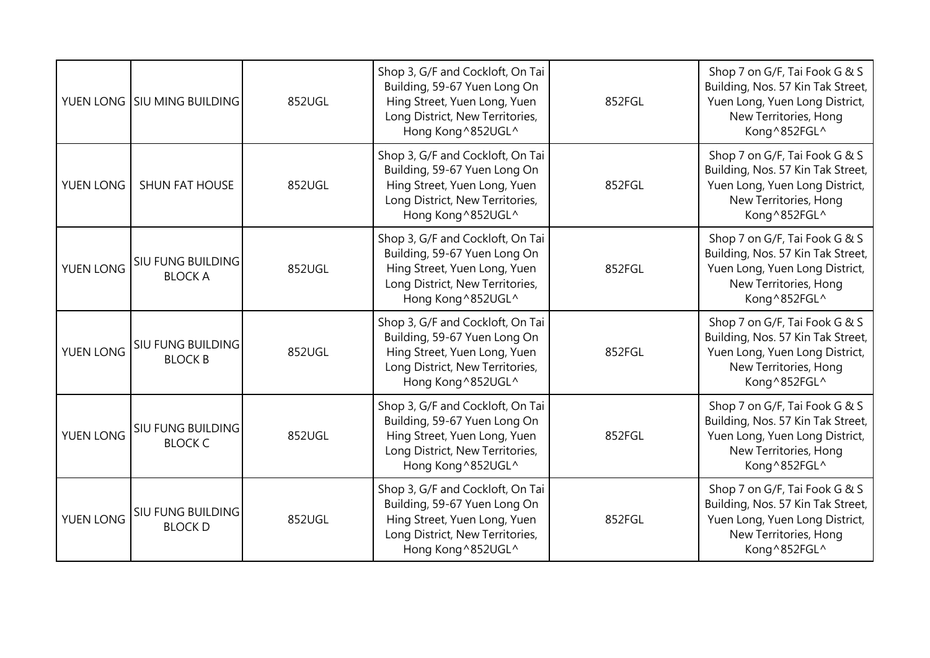|                  | YUEN LONG SIU MING BUILDING                | 852UGL | Shop 3, G/F and Cockloft, On Tai<br>Building, 59-67 Yuen Long On<br>Hing Street, Yuen Long, Yuen<br>Long District, New Territories,<br>Hong Kong^852UGL^ | 852FGL | Shop 7 on G/F, Tai Fook G & S<br>Building, Nos. 57 Kin Tak Street,<br>Yuen Long, Yuen Long District,<br>New Territories, Hong<br>Kong^852FGL^ |
|------------------|--------------------------------------------|--------|----------------------------------------------------------------------------------------------------------------------------------------------------------|--------|-----------------------------------------------------------------------------------------------------------------------------------------------|
| YUEN LONG        | SHUN FAT HOUSE                             | 852UGL | Shop 3, G/F and Cockloft, On Tai<br>Building, 59-67 Yuen Long On<br>Hing Street, Yuen Long, Yuen<br>Long District, New Territories,<br>Hong Kong^852UGL^ | 852FGL | Shop 7 on G/F, Tai Fook G & S<br>Building, Nos. 57 Kin Tak Street,<br>Yuen Long, Yuen Long District,<br>New Territories, Hong<br>Kong^852FGL^ |
| YUEN LONG        | SIU FUNG BUILDING<br><b>BLOCK A</b>        | 852UGL | Shop 3, G/F and Cockloft, On Tai<br>Building, 59-67 Yuen Long On<br>Hing Street, Yuen Long, Yuen<br>Long District, New Territories,<br>Hong Kong^852UGL^ | 852FGL | Shop 7 on G/F, Tai Fook G & S<br>Building, Nos. 57 Kin Tak Street,<br>Yuen Long, Yuen Long District,<br>New Territories, Hong<br>Kong^852FGL^ |
| <b>YUEN LONG</b> | SIU FUNG BUILDING<br><b>BLOCK B</b>        | 852UGL | Shop 3, G/F and Cockloft, On Tai<br>Building, 59-67 Yuen Long On<br>Hing Street, Yuen Long, Yuen<br>Long District, New Territories,<br>Hong Kong^852UGL^ | 852FGL | Shop 7 on G/F, Tai Fook G & S<br>Building, Nos. 57 Kin Tak Street,<br>Yuen Long, Yuen Long District,<br>New Territories, Hong<br>Kong^852FGL^ |
| YUEN LONG        | <b>SIU FUNG BUILDING</b><br><b>BLOCK C</b> | 852UGL | Shop 3, G/F and Cockloft, On Tai<br>Building, 59-67 Yuen Long On<br>Hing Street, Yuen Long, Yuen<br>Long District, New Territories,<br>Hong Kong^852UGL^ | 852FGL | Shop 7 on G/F, Tai Fook G & S<br>Building, Nos. 57 Kin Tak Street,<br>Yuen Long, Yuen Long District,<br>New Territories, Hong<br>Kong^852FGL^ |
| YUEN LONG        | SIU FUNG BUILDING<br><b>BLOCK D</b>        | 852UGL | Shop 3, G/F and Cockloft, On Tai<br>Building, 59-67 Yuen Long On<br>Hing Street, Yuen Long, Yuen<br>Long District, New Territories,<br>Hong Kong^852UGL^ | 852FGL | Shop 7 on G/F, Tai Fook G & S<br>Building, Nos. 57 Kin Tak Street,<br>Yuen Long, Yuen Long District,<br>New Territories, Hong<br>Kong^852FGL^ |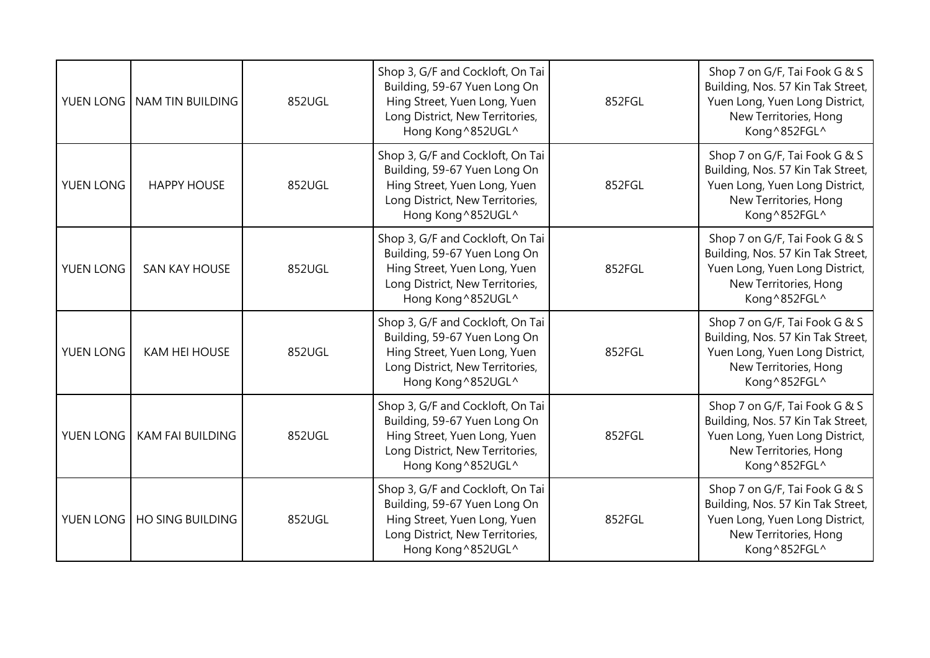| YUEN LONG | NAM TIN BUILDING        | 852UGL | Shop 3, G/F and Cockloft, On Tai<br>Building, 59-67 Yuen Long On<br>Hing Street, Yuen Long, Yuen<br>Long District, New Territories,<br>Hong Kong^852UGL^ | 852FGL | Shop 7 on G/F, Tai Fook G & S<br>Building, Nos. 57 Kin Tak Street,<br>Yuen Long, Yuen Long District,<br>New Territories, Hong<br>Kong ^852FGL^ |
|-----------|-------------------------|--------|----------------------------------------------------------------------------------------------------------------------------------------------------------|--------|------------------------------------------------------------------------------------------------------------------------------------------------|
| YUEN LONG | <b>HAPPY HOUSE</b>      | 852UGL | Shop 3, G/F and Cockloft, On Tai<br>Building, 59-67 Yuen Long On<br>Hing Street, Yuen Long, Yuen<br>Long District, New Territories,<br>Hong Kong^852UGL^ | 852FGL | Shop 7 on G/F, Tai Fook G & S<br>Building, Nos. 57 Kin Tak Street,<br>Yuen Long, Yuen Long District,<br>New Territories, Hong<br>Kong ^852FGL^ |
| YUEN LONG | <b>SAN KAY HOUSE</b>    | 852UGL | Shop 3, G/F and Cockloft, On Tai<br>Building, 59-67 Yuen Long On<br>Hing Street, Yuen Long, Yuen<br>Long District, New Territories,<br>Hong Kong^852UGL^ | 852FGL | Shop 7 on G/F, Tai Fook G & S<br>Building, Nos. 57 Kin Tak Street,<br>Yuen Long, Yuen Long District,<br>New Territories, Hong<br>Kong^852FGL^  |
| YUEN LONG | <b>KAM HEI HOUSE</b>    | 852UGL | Shop 3, G/F and Cockloft, On Tai<br>Building, 59-67 Yuen Long On<br>Hing Street, Yuen Long, Yuen<br>Long District, New Territories,<br>Hong Kong^852UGL^ | 852FGL | Shop 7 on G/F, Tai Fook G & S<br>Building, Nos. 57 Kin Tak Street,<br>Yuen Long, Yuen Long District,<br>New Territories, Hong<br>Kong ^852FGL^ |
| YUEN LONG | <b>KAM FAI BUILDING</b> | 852UGL | Shop 3, G/F and Cockloft, On Tai<br>Building, 59-67 Yuen Long On<br>Hing Street, Yuen Long, Yuen<br>Long District, New Territories,<br>Hong Kong^852UGL^ | 852FGL | Shop 7 on G/F, Tai Fook G & S<br>Building, Nos. 57 Kin Tak Street,<br>Yuen Long, Yuen Long District,<br>New Territories, Hong<br>Kong ^852FGL^ |
| YUEN LONG | <b>HO SING BUILDING</b> | 852UGL | Shop 3, G/F and Cockloft, On Tai<br>Building, 59-67 Yuen Long On<br>Hing Street, Yuen Long, Yuen<br>Long District, New Territories,<br>Hong Kong^852UGL^ | 852FGL | Shop 7 on G/F, Tai Fook G & S<br>Building, Nos. 57 Kin Tak Street,<br>Yuen Long, Yuen Long District,<br>New Territories, Hong<br>Kong^852FGL^  |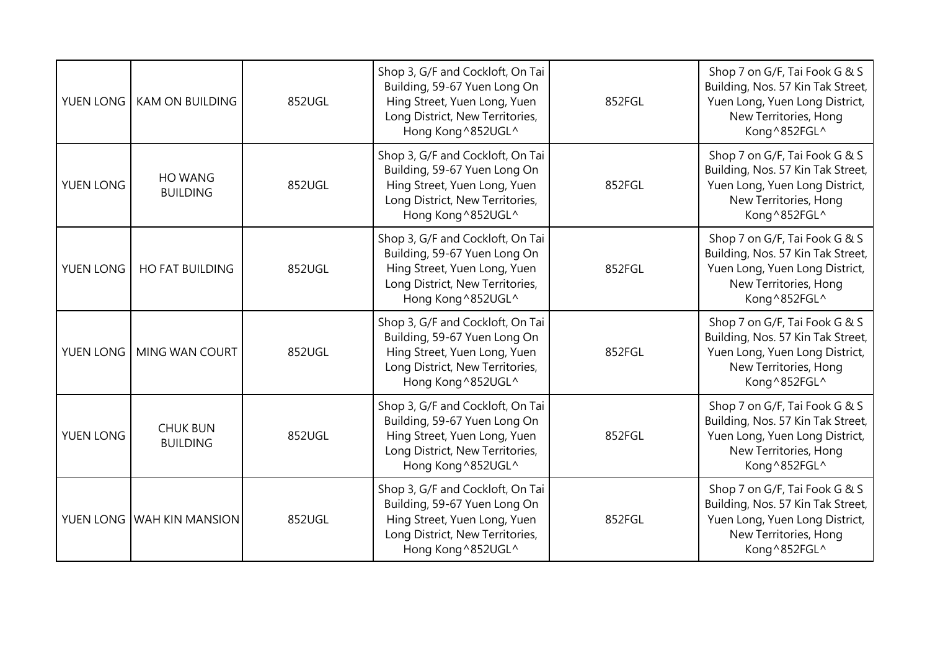| YUEN LONG | <b>KAM ON BUILDING</b>             | 852UGL | Shop 3, G/F and Cockloft, On Tai<br>Building, 59-67 Yuen Long On<br>Hing Street, Yuen Long, Yuen<br>Long District, New Territories,<br>Hong Kong^852UGL^  | 852FGL | Shop 7 on G/F, Tai Fook G & S<br>Building, Nos. 57 Kin Tak Street,<br>Yuen Long, Yuen Long District,<br>New Territories, Hong<br>Kong ^852FGL^ |
|-----------|------------------------------------|--------|-----------------------------------------------------------------------------------------------------------------------------------------------------------|--------|------------------------------------------------------------------------------------------------------------------------------------------------|
| YUEN LONG | HO WANG<br><b>BUILDING</b>         | 852UGL | Shop 3, G/F and Cockloft, On Tai<br>Building, 59-67 Yuen Long On<br>Hing Street, Yuen Long, Yuen<br>Long District, New Territories,<br>Hong Kong^852UGL^  | 852FGL | Shop 7 on G/F, Tai Fook G & S<br>Building, Nos. 57 Kin Tak Street,<br>Yuen Long, Yuen Long District,<br>New Territories, Hong<br>Kong ^852FGL^ |
| YUEN LONG | <b>HO FAT BUILDING</b>             | 852UGL | Shop 3, G/F and Cockloft, On Tai<br>Building, 59-67 Yuen Long On<br>Hing Street, Yuen Long, Yuen<br>Long District, New Territories,<br>Hong Kong^852UGL^  | 852FGL | Shop 7 on G/F, Tai Fook G & S<br>Building, Nos. 57 Kin Tak Street,<br>Yuen Long, Yuen Long District,<br>New Territories, Hong<br>Kong^852FGL^  |
| YUEN LONG | MING WAN COURT                     | 852UGL | Shop 3, G/F and Cockloft, On Tai<br>Building, 59-67 Yuen Long On<br>Hing Street, Yuen Long, Yuen<br>Long District, New Territories,<br>Hong Kong ^852UGL^ | 852FGL | Shop 7 on G/F, Tai Fook G & S<br>Building, Nos. 57 Kin Tak Street,<br>Yuen Long, Yuen Long District,<br>New Territories, Hong<br>Kong^852FGL^  |
| YUEN LONG | <b>CHUK BUN</b><br><b>BUILDING</b> | 852UGL | Shop 3, G/F and Cockloft, On Tai<br>Building, 59-67 Yuen Long On<br>Hing Street, Yuen Long, Yuen<br>Long District, New Territories,<br>Hong Kong^852UGL^  | 852FGL | Shop 7 on G/F, Tai Fook G & S<br>Building, Nos. 57 Kin Tak Street,<br>Yuen Long, Yuen Long District,<br>New Territories, Hong<br>Kong ^852FGL^ |
|           | YUEN LONG WAH KIN MANSION          | 852UGL | Shop 3, G/F and Cockloft, On Tai<br>Building, 59-67 Yuen Long On<br>Hing Street, Yuen Long, Yuen<br>Long District, New Territories,<br>Hong Kong^852UGL^  | 852FGL | Shop 7 on G/F, Tai Fook G & S<br>Building, Nos. 57 Kin Tak Street,<br>Yuen Long, Yuen Long District,<br>New Territories, Hong<br>Kong^852FGL^  |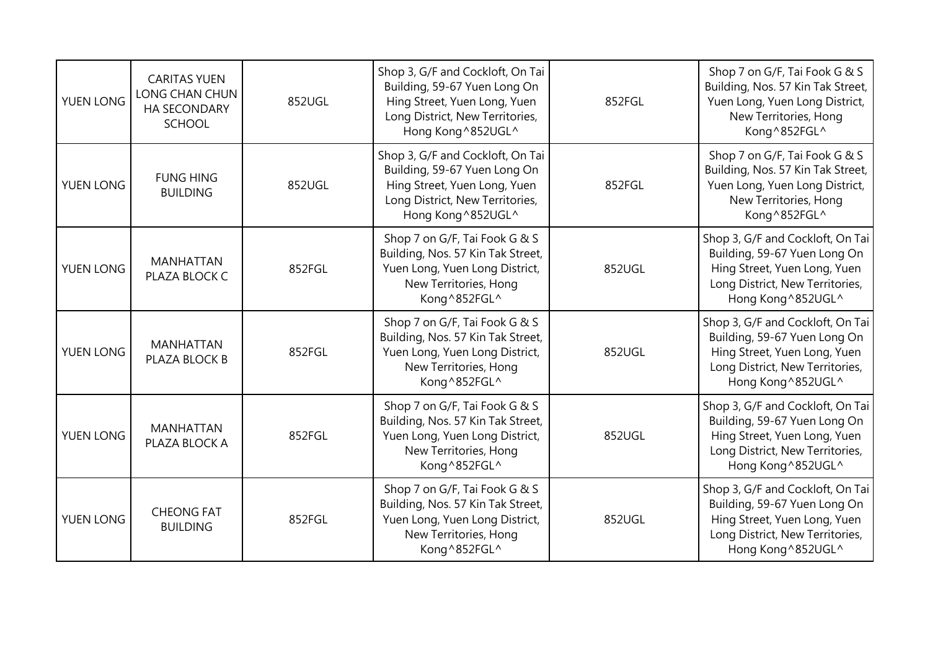| YUEN LONG | <b>CARITAS YUEN</b><br>LONG CHAN CHUN<br><b>HA SECONDARY</b><br><b>SCHOOL</b> | 852UGL | Shop 3, G/F and Cockloft, On Tai<br>Building, 59-67 Yuen Long On<br>Hing Street, Yuen Long, Yuen<br>Long District, New Territories,<br>Hong Kong^852UGL^ | 852FGL | Shop 7 on G/F, Tai Fook G & S<br>Building, Nos. 57 Kin Tak Street,<br>Yuen Long, Yuen Long District,<br>New Territories, Hong<br>Kong^852FGL^             |
|-----------|-------------------------------------------------------------------------------|--------|----------------------------------------------------------------------------------------------------------------------------------------------------------|--------|-----------------------------------------------------------------------------------------------------------------------------------------------------------|
| YUEN LONG | <b>FUNG HING</b><br><b>BUILDING</b>                                           | 852UGL | Shop 3, G/F and Cockloft, On Tai<br>Building, 59-67 Yuen Long On<br>Hing Street, Yuen Long, Yuen<br>Long District, New Territories,<br>Hong Kong^852UGL^ | 852FGL | Shop 7 on G/F, Tai Fook G & S<br>Building, Nos. 57 Kin Tak Street,<br>Yuen Long, Yuen Long District,<br>New Territories, Hong<br>Kong^852FGL^             |
| YUEN LONG | <b>MANHATTAN</b><br>PLAZA BLOCK C                                             | 852FGL | Shop 7 on G/F, Tai Fook G & S<br>Building, Nos. 57 Kin Tak Street,<br>Yuen Long, Yuen Long District,<br>New Territories, Hong<br>Kong^852FGL^            | 852UGL | Shop 3, G/F and Cockloft, On Tai<br>Building, 59-67 Yuen Long On<br>Hing Street, Yuen Long, Yuen<br>Long District, New Territories,<br>Hong Kong ^852UGL^ |
| YUEN LONG | <b>MANHATTAN</b><br>PLAZA BLOCK B                                             | 852FGL | Shop 7 on G/F, Tai Fook G & S<br>Building, Nos. 57 Kin Tak Street,<br>Yuen Long, Yuen Long District,<br>New Territories, Hong<br>Kong^852FGL^            | 852UGL | Shop 3, G/F and Cockloft, On Tai<br>Building, 59-67 Yuen Long On<br>Hing Street, Yuen Long, Yuen<br>Long District, New Territories,<br>Hong Kong ^852UGL^ |
| YUEN LONG | <b>MANHATTAN</b><br>PLAZA BLOCK A                                             | 852FGL | Shop 7 on G/F, Tai Fook G & S<br>Building, Nos. 57 Kin Tak Street,<br>Yuen Long, Yuen Long District,<br>New Territories, Hong<br>Kong^852FGL^            | 852UGL | Shop 3, G/F and Cockloft, On Tai<br>Building, 59-67 Yuen Long On<br>Hing Street, Yuen Long, Yuen<br>Long District, New Territories,<br>Hong Kong ^852UGL^ |
| YUEN LONG | <b>CHEONG FAT</b><br><b>BUILDING</b>                                          | 852FGL | Shop 7 on G/F, Tai Fook G & S<br>Building, Nos. 57 Kin Tak Street,<br>Yuen Long, Yuen Long District,<br>New Territories, Hong<br>Kong^852FGL^            | 852UGL | Shop 3, G/F and Cockloft, On Tai<br>Building, 59-67 Yuen Long On<br>Hing Street, Yuen Long, Yuen<br>Long District, New Territories,<br>Hong Kong ^852UGL^ |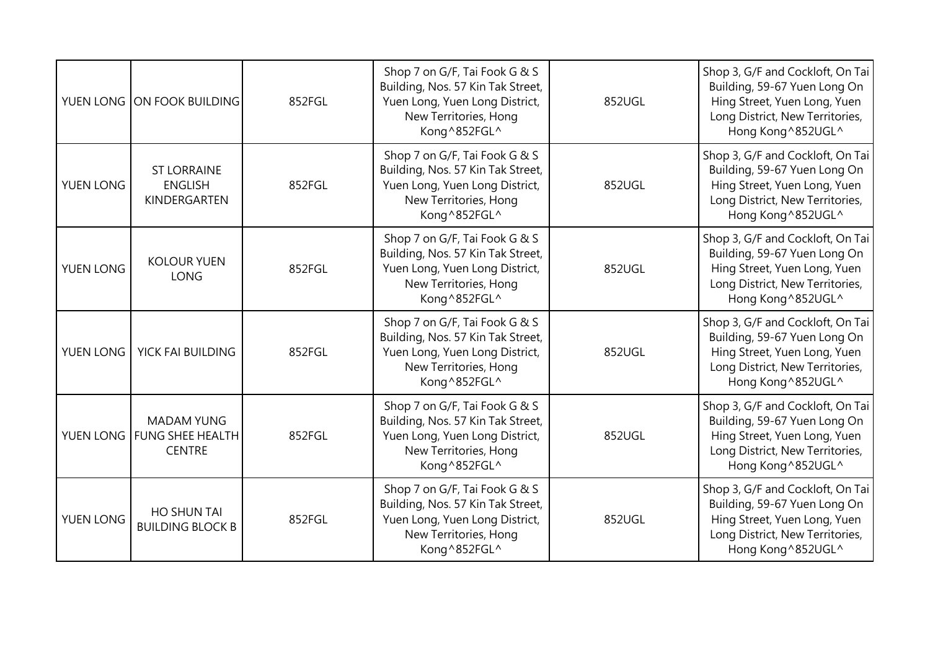|           | YUEN LONG ON FOOK BUILDING                                       | 852FGL | Shop 7 on G/F, Tai Fook G & S<br>Building, Nos. 57 Kin Tak Street,<br>Yuen Long, Yuen Long District,<br>New Territories, Hong<br>Kong^852FGL^ | 852UGL | Shop 3, G/F and Cockloft, On Tai<br>Building, 59-67 Yuen Long On<br>Hing Street, Yuen Long, Yuen<br>Long District, New Territories,<br>Hong Kong ^852UGL^ |
|-----------|------------------------------------------------------------------|--------|-----------------------------------------------------------------------------------------------------------------------------------------------|--------|-----------------------------------------------------------------------------------------------------------------------------------------------------------|
| YUEN LONG | <b>ST LORRAINE</b><br><b>ENGLISH</b><br>KINDERGARTEN             | 852FGL | Shop 7 on G/F, Tai Fook G & S<br>Building, Nos. 57 Kin Tak Street,<br>Yuen Long, Yuen Long District,<br>New Territories, Hong<br>Kong^852FGL^ | 852UGL | Shop 3, G/F and Cockloft, On Tai<br>Building, 59-67 Yuen Long On<br>Hing Street, Yuen Long, Yuen<br>Long District, New Territories,<br>Hong Kong ^852UGL^ |
| YUEN LONG | <b>KOLOUR YUEN</b><br><b>LONG</b>                                | 852FGL | Shop 7 on G/F, Tai Fook G & S<br>Building, Nos. 57 Kin Tak Street,<br>Yuen Long, Yuen Long District,<br>New Territories, Hong<br>Kong^852FGL^ | 852UGL | Shop 3, G/F and Cockloft, On Tai<br>Building, 59-67 Yuen Long On<br>Hing Street, Yuen Long, Yuen<br>Long District, New Territories,<br>Hong Kong ^852UGL^ |
| YUEN LONG | YICK FAI BUILDING                                                | 852FGL | Shop 7 on G/F, Tai Fook G & S<br>Building, Nos. 57 Kin Tak Street,<br>Yuen Long, Yuen Long District,<br>New Territories, Hong<br>Kong^852FGL^ | 852UGL | Shop 3, G/F and Cockloft, On Tai<br>Building, 59-67 Yuen Long On<br>Hing Street, Yuen Long, Yuen<br>Long District, New Territories,<br>Hong Kong ^852UGL^ |
|           | <b>MADAM YUNG</b><br>YUEN LONG FUNG SHEE HEALTH<br><b>CENTRE</b> | 852FGL | Shop 7 on G/F, Tai Fook G & S<br>Building, Nos. 57 Kin Tak Street,<br>Yuen Long, Yuen Long District,<br>New Territories, Hong<br>Kong^852FGL^ | 852UGL | Shop 3, G/F and Cockloft, On Tai<br>Building, 59-67 Yuen Long On<br>Hing Street, Yuen Long, Yuen<br>Long District, New Territories,<br>Hong Kong ^852UGL^ |
| YUEN LONG | <b>HO SHUN TAI</b><br><b>BUILDING BLOCK B</b>                    | 852FGL | Shop 7 on G/F, Tai Fook G & S<br>Building, Nos. 57 Kin Tak Street,<br>Yuen Long, Yuen Long District,<br>New Territories, Hong<br>Kong^852FGL^ | 852UGL | Shop 3, G/F and Cockloft, On Tai<br>Building, 59-67 Yuen Long On<br>Hing Street, Yuen Long, Yuen<br>Long District, New Territories,<br>Hong Kong ^852UGL^ |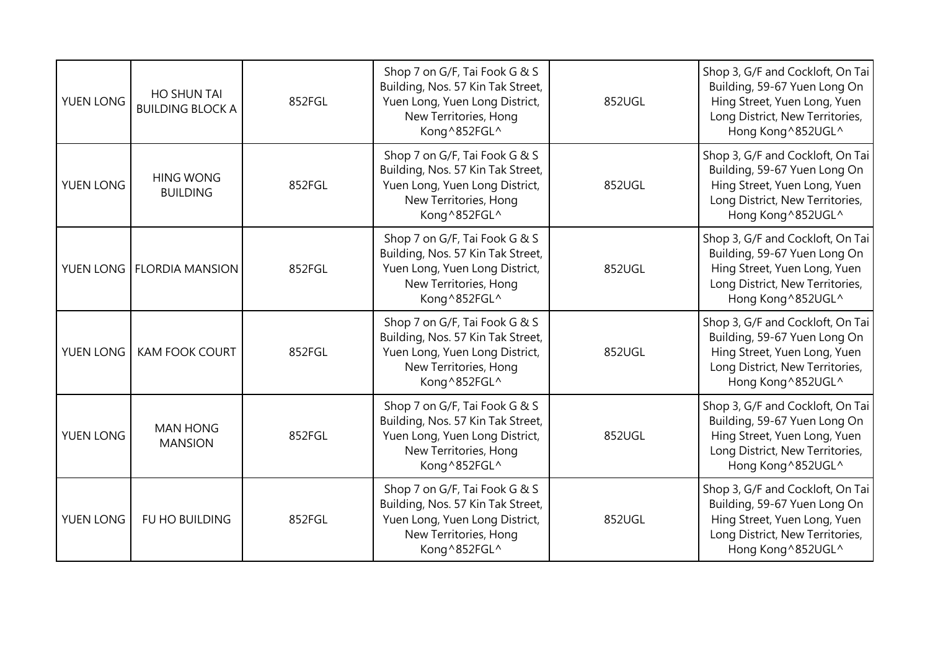| <b>YUEN LONG</b> | HO SHUN TAI<br><b>BUILDING BLOCK A</b> | 852FGL | Shop 7 on G/F, Tai Fook G & S<br>Building, Nos. 57 Kin Tak Street,<br>Yuen Long, Yuen Long District,<br>New Territories, Hong<br>Kong^852FGL^ | 852UGL | Shop 3, G/F and Cockloft, On Tai<br>Building, 59-67 Yuen Long On<br>Hing Street, Yuen Long, Yuen<br>Long District, New Territories,<br>Hong Kong ^852UGL^ |
|------------------|----------------------------------------|--------|-----------------------------------------------------------------------------------------------------------------------------------------------|--------|-----------------------------------------------------------------------------------------------------------------------------------------------------------|
| YUEN LONG        | <b>HING WONG</b><br><b>BUILDING</b>    | 852FGL | Shop 7 on G/F, Tai Fook G & S<br>Building, Nos. 57 Kin Tak Street,<br>Yuen Long, Yuen Long District,<br>New Territories, Hong<br>Kong^852FGL^ | 852UGL | Shop 3, G/F and Cockloft, On Tai<br>Building, 59-67 Yuen Long On<br>Hing Street, Yuen Long, Yuen<br>Long District, New Territories,<br>Hong Kong ^852UGL^ |
|                  | YUEN LONG   FLORDIA MANSION            | 852FGL | Shop 7 on G/F, Tai Fook G & S<br>Building, Nos. 57 Kin Tak Street,<br>Yuen Long, Yuen Long District,<br>New Territories, Hong<br>Kong^852FGL^ | 852UGL | Shop 3, G/F and Cockloft, On Tai<br>Building, 59-67 Yuen Long On<br>Hing Street, Yuen Long, Yuen<br>Long District, New Territories,<br>Hong Kong ^852UGL^ |
| YUEN LONG        | <b>KAM FOOK COURT</b>                  | 852FGL | Shop 7 on G/F, Tai Fook G & S<br>Building, Nos. 57 Kin Tak Street,<br>Yuen Long, Yuen Long District,<br>New Territories, Hong<br>Kong^852FGL^ | 852UGL | Shop 3, G/F and Cockloft, On Tai<br>Building, 59-67 Yuen Long On<br>Hing Street, Yuen Long, Yuen<br>Long District, New Territories,<br>Hong Kong ^852UGL^ |
| YUEN LONG        | <b>MAN HONG</b><br><b>MANSION</b>      | 852FGL | Shop 7 on G/F, Tai Fook G & S<br>Building, Nos. 57 Kin Tak Street,<br>Yuen Long, Yuen Long District,<br>New Territories, Hong<br>Kong^852FGL^ | 852UGL | Shop 3, G/F and Cockloft, On Tai<br>Building, 59-67 Yuen Long On<br>Hing Street, Yuen Long, Yuen<br>Long District, New Territories,<br>Hong Kong ^852UGL^ |
| YUEN LONG        | FU HO BUILDING                         | 852FGL | Shop 7 on G/F, Tai Fook G & S<br>Building, Nos. 57 Kin Tak Street,<br>Yuen Long, Yuen Long District,<br>New Territories, Hong<br>Kong^852FGL^ | 852UGL | Shop 3, G/F and Cockloft, On Tai<br>Building, 59-67 Yuen Long On<br>Hing Street, Yuen Long, Yuen<br>Long District, New Territories,<br>Hong Kong ^852UGL^ |